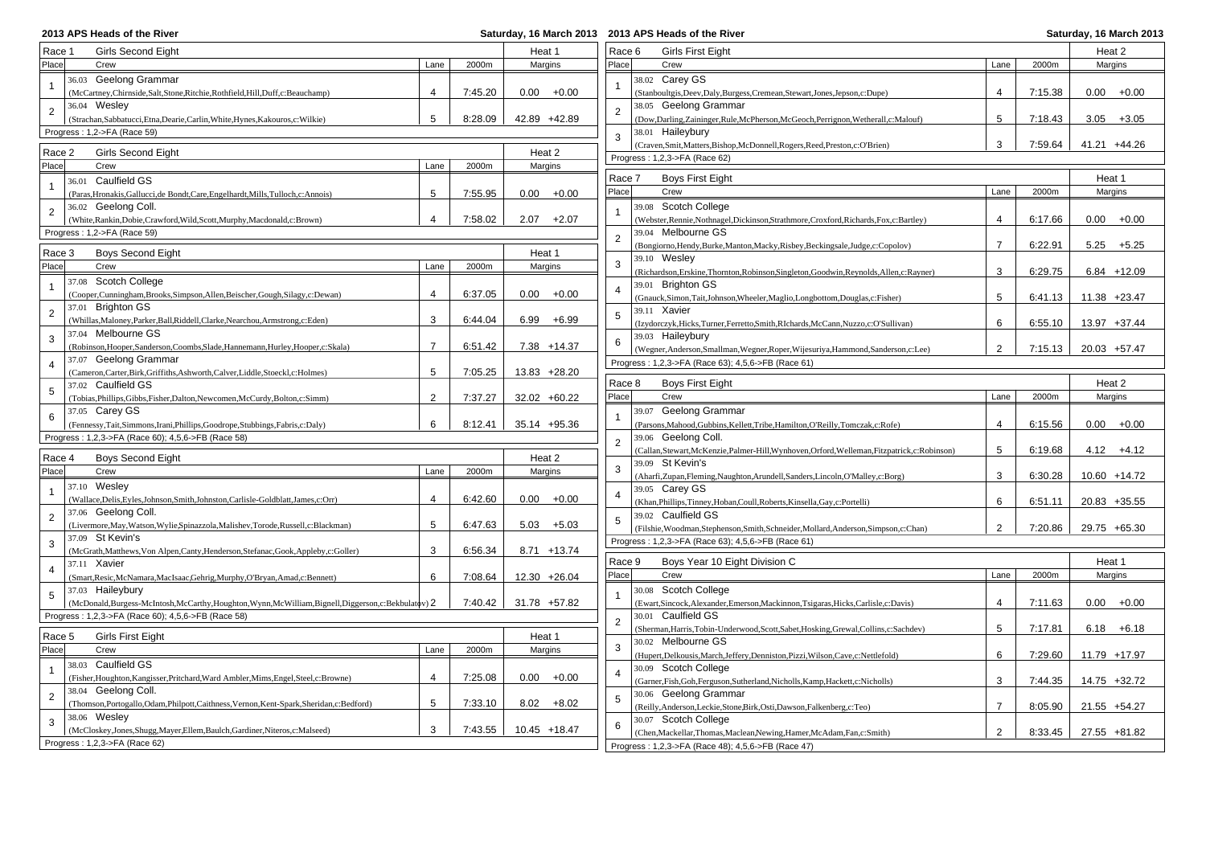| 2013 APS Heads of the River<br>Saturday, 16 March 2013<br>2013 APS Heads of the River |                                                                                                                                        |                |         |               |                |                                                                                                            |                | Saturday, 16 March 2013 |                |
|---------------------------------------------------------------------------------------|----------------------------------------------------------------------------------------------------------------------------------------|----------------|---------|---------------|----------------|------------------------------------------------------------------------------------------------------------|----------------|-------------------------|----------------|
| Race 1                                                                                | Girls Second Eight                                                                                                                     |                |         | Heat 1        | Race 6         | Girls First Eight                                                                                          |                |                         | Heat 2         |
| Place                                                                                 | Crew                                                                                                                                   | Lane           | 2000m   | Margins       | Place          | Crew                                                                                                       | Lane           | 2000m                   | Margins        |
| $\overline{1}$                                                                        | 36.03 Geelong Grammar                                                                                                                  |                |         |               | $\mathbf{1}$   | 38.02 Carey GS                                                                                             |                |                         |                |
|                                                                                       | (McCartney,Chirnside,Salt,Stone,Ritchie,Rothfield,Hill,Duff,c:Beauchamp)                                                               | $\overline{4}$ | 7:45.20 | $0.00 + 0.00$ |                | (Stanboultgis, Deev, Daly, Burgess, Cremean, Stewart, Jones, Jepson, c: Dupe)                              | $\overline{4}$ | 7:15.38                 | $0.00 + 0.00$  |
| $\overline{\mathbf{c}}$                                                               | 36.04 Wesley                                                                                                                           |                |         |               | $\overline{2}$ | 38.05 Geelong Grammar                                                                                      |                |                         |                |
|                                                                                       | (Strachan, Sabbatucci, Etna, Dearie, Carlin, White, Hynes, Kakouros, c: Wilkie)                                                        | 5              | 8:28.09 | 42.89 +42.89  |                | (Dow,Darling,Zaininger,Rule,McPherson,McGeoch,Perrignon,Wetherall,c:Malouf)                                | 5              | 7:18.43                 | $3.05 + 3.05$  |
|                                                                                       | Progress: 1,2->FA (Race 59)                                                                                                            |                |         |               | $\mathbf{3}$   | 38.01 Haileybury                                                                                           |                |                         |                |
| Race 2                                                                                | <b>Girls Second Eight</b>                                                                                                              |                |         | Heat 2        |                | (Craven, Smit, Matters, Bishop, McDonnell, Rogers, Reed, Preston, c: O'Brien)                              | 3              | 7:59.64                 | 41.21 +44.26   |
| Place                                                                                 | Crew                                                                                                                                   | Lane           | 2000m   | Margins       |                | Progress: 1,2,3->FA (Race 62)                                                                              |                |                         |                |
|                                                                                       | 36.01 Caulfield GS                                                                                                                     |                |         |               | Race 7         | <b>Boys First Eight</b>                                                                                    |                |                         | Heat 1         |
|                                                                                       | (Paras, Hronakis, Gallucci, de Bondt, Care, Engelhardt, Mills, Tulloch, c: Annois)                                                     | 5              | 7:55.95 | $0.00 + 0.00$ | Place          | Crew                                                                                                       | Lane           | 2000m                   | Margins        |
|                                                                                       | 36.02 Geelong Coll.                                                                                                                    |                |         |               |                | 39.08 Scotch College                                                                                       |                |                         |                |
| $\boldsymbol{2}$                                                                      | (White, Rankin, Dobie, Crawford, Wild, Scott, Murphy, Macdonald, c: Brown)                                                             | $\overline{4}$ | 7:58.02 | $2.07 +2.07$  | $\overline{1}$ | (Webster, Rennie, Nothnagel, Dickinson, Strathmore, Croxford, Richards, Fox, c: Bartley)                   | 4              | 6:17.66                 | $0.00 + 0.00$  |
|                                                                                       | Progress: 1,2->FA (Race 59)                                                                                                            |                |         |               |                | 39.04 Melbourne GS                                                                                         |                |                         |                |
|                                                                                       |                                                                                                                                        |                |         |               | $\overline{2}$ | (Bongiorno, Hendy, Burke, Manton, Macky, Risbey, Beckingsale, Judge, c: Copolov)                           | $\overline{7}$ | 6:22.91                 | $5.25 + 5.25$  |
| Race 3                                                                                | <b>Boys Second Eight</b>                                                                                                               |                |         | Heat 1        |                | 39.10 Wesley                                                                                               |                |                         |                |
| Place                                                                                 | Crew                                                                                                                                   | Lane           | 2000m   | Margins       | 3              | (Richardson, Erskine, Thornton, Robinson, Singleton, Goodwin, Reynolds, Allen, c: Rayner)                  | 3              | 6:29.75                 | $6.84 + 12.09$ |
| $\overline{1}$                                                                        | 37.08 Scotch College                                                                                                                   |                |         |               | $\overline{4}$ | 39.01 Brighton GS                                                                                          |                |                         |                |
|                                                                                       | (Cooper,Cunningham,Brooks,Simpson,Allen,Beischer,Gough,Silagy,c:Dewan)                                                                 | $\overline{4}$ | 6:37.05 | $0.00 + 0.00$ |                | (Gnauck, Simon, Tait, Johnson, Wheeler, Maglio, Longbottom, Douglas, c: Fisher)                            | 5              | 6:41.13                 | 11.38 +23.47   |
| $\sqrt{2}$                                                                            | 37.01 Brighton GS                                                                                                                      |                |         |               | 5              | 39.11 Xavier                                                                                               |                |                         |                |
|                                                                                       | (Whillas,Maloney,Parker,Ball,Riddell,Clarke,Nearchou,Armstrong,c:Eden)                                                                 | 3              | 6:44.04 | $6.99 + 6.99$ |                | (Izydorczyk, Hicks, Turner, Ferretto, Smith, RIchards, McCann, Nuzzo, c: O'Sullivan)                       | 6              | 6:55.10                 | 13.97 +37.44   |
| $\mathbf{3}$                                                                          | 37.04 Melbourne GS                                                                                                                     |                |         |               | 6              | 39.03 Haileybury                                                                                           |                |                         |                |
|                                                                                       | (Robinson, Hooper, Sanderson, Coombs, Slade, Hannemann, Hurley, Hooper, c: Skala)                                                      | $\overline{7}$ | 6:51.42 | 7.38 +14.37   |                | (Wegner, Anderson, Smallman, Wegner, Roper, Wijesuriya, Hammond, Sanderson, c: Lee)                        | 2              | 7:15.13                 | 20.03 +57.47   |
| $\overline{4}$                                                                        | 37.07 Geelong Grammar                                                                                                                  |                |         |               |                | Progress: 1,2,3->FA (Race 63); 4,5,6->FB (Race 61)                                                         |                |                         |                |
|                                                                                       | (Cameron, Carter, Birk, Griffiths, Ashworth, Calver, Liddle, Stoeckl, c: Holmes)                                                       | 5              | 7:05.25 | 13.83 +28.20  | Race 8         | <b>Boys First Eight</b>                                                                                    |                |                         | Heat 2         |
| $5\phantom{.0}$                                                                       | 37.02 Caulfield GS                                                                                                                     | 2              |         |               | Place          | Crew                                                                                                       | Lane           | 2000m                   |                |
|                                                                                       | (Tobias, Phillips, Gibbs, Fisher, Dalton, Newcomen, McCurdy, Bolton, c: Simm)                                                          |                | 7:37.27 | 32.02 +60.22  |                |                                                                                                            |                |                         | Margins        |
| 6                                                                                     | 37.05 Carey GS                                                                                                                         | 6              | 8:12.41 | 35.14 +95.36  | $\overline{1}$ | 39.07 Geelong Grammar                                                                                      | $\overline{4}$ | 6:15.56                 | $0.00 + 0.00$  |
|                                                                                       | (Fennessy, Tait, Simmons, Irani, Phillips, Goodrope, Stubbings, Fabris, c: Daly)<br>Progress: 1,2,3->FA (Race 60); 4,5,6->FB (Race 58) |                |         |               |                | (Parsons, Mahood, Gubbins, Kellett, Tribe, Hamilton, O'Reilly, Tomczak, c: Rofe)<br>39.06 Geelong Coll.    |                |                         |                |
|                                                                                       |                                                                                                                                        |                |         |               | $\overline{2}$ | (Callan, Stewart, McKenzie, Palmer-Hill, Wynhoven, Orford, Welleman, Fitzpatrick, c: Robinson)             | 5              | 6:19.68                 | $4.12 + 4.12$  |
| Race 4                                                                                | <b>Boys Second Eight</b>                                                                                                               |                |         | Heat 2        |                | 39.09 St Kevin's                                                                                           |                |                         |                |
| Place                                                                                 | Crew                                                                                                                                   | Lane           | 2000m   | Margins       | 3              | (Aharfi, Zupan, Fleming, Naughton, Arundell, Sanders, Lincoln, O'Malley, c: Borg)                          | 3              | 6:30.28                 | 10.60 +14.72   |
| 1                                                                                     | 37.10 Weslev                                                                                                                           |                |         |               |                | 39.05 Carey GS                                                                                             |                |                         |                |
|                                                                                       | (Wallace, Delis, Eyles, Johnson, Smith, Johnston, Carlisle-Goldblatt, James, c: Orr)                                                   | $\overline{4}$ | 6:42.60 | $0.00 + 0.00$ | $\overline{4}$ | (Khan, Phillips, Tinney, Hoban, Coull, Roberts, Kinsella, Gay, c: Portelli)                                | 6              | 6:51.11                 | 20.83 +35.55   |
| $\overline{2}$                                                                        | 37.06 Geelong Coll.                                                                                                                    |                |         |               | 5              | 39.02 Caulfield GS                                                                                         |                |                         |                |
|                                                                                       | (Livermore, May, Watson, Wylie, Spinazzola, Malishev, Torode, Russell, c: Blackman)                                                    | 5              | 6:47.63 | $5.03 + 5.03$ |                | (Filshie, Woodman, Stephenson, Smith, Schneider, Mollard, Anderson, Simpson, c: Chan)                      | $\overline{2}$ | 7:20.86                 | 29.75 +65.30   |
| 3                                                                                     | 37.09 St Kevin's                                                                                                                       |                |         |               |                | Progress: 1,2,3->FA (Race 63); 4,5,6->FB (Race 61)                                                         |                |                         |                |
|                                                                                       | (McGrath, Matthews, Von Alpen, Canty, Henderson, Stefanac, Gook, Appleby, c: Goller)                                                   | 3              | 6:56.34 | 8.71 +13.74   |                |                                                                                                            |                |                         |                |
| $\overline{4}$                                                                        | 37.11 Xavier                                                                                                                           |                |         |               | Race 9         | Boys Year 10 Eight Division C                                                                              |                |                         | Heat 1         |
|                                                                                       | (Smart, Resic, McNamara, MacIsaac, Gehrig, Murphy, O'Bryan, Amad, c: Bennett)                                                          | 6              | 7:08.64 | 12.30 +26.04  | Place          | Crew                                                                                                       | Lane           | 2000m                   | Margins        |
| $\sqrt{5}$                                                                            | 37.03 Haileybury                                                                                                                       |                |         |               | $\overline{1}$ | 30.08 Scotch College                                                                                       |                |                         |                |
|                                                                                       | (McDonald, Burgess-McIntosh, McCarthy, Houghton, Wynn, McWilliam, Bignell, Diggerson, c: Bekbulatov) 2                                 |                | 7:40.42 | 31.78 +57.82  |                | (Ewart,Sincock,Alexander,Emerson,Mackinnon,Tsigaras,Hicks,Carlisle,c:Davis)                                | $\overline{4}$ | 7:11.63                 | $0.00 + 0.00$  |
|                                                                                       | Progress: 1,2,3->FA (Race 60); 4,5,6->FB (Race 58)                                                                                     |                |         |               | $\overline{2}$ | 30.01 Caulfield GS                                                                                         |                |                         |                |
| Race 5                                                                                | Girls First Eight                                                                                                                      |                |         | Heat 1        |                | (Sherman, Harris, Tobin-Underwood, Scott, Sabet, Hosking, Grewal, Collins, c: Sachdev)                     | 5              | 7:17.81                 | $6.18 + 6.18$  |
| Place                                                                                 | Crew                                                                                                                                   | Lane           | 2000m   | Margins       | 3              | 30.02 Melbourne GS                                                                                         | 6              | 7:29.60                 | 11.79 +17.97   |
|                                                                                       | 38.03 Caulfield GS                                                                                                                     |                |         |               |                | (Hupert, Delkousis, March, Jeffery, Denniston, Pizzi, Wilson, Cave, c: Nettlefold)<br>30.09 Scotch College |                |                         |                |
| $\overline{1}$                                                                        | (Fisher, Houghton, Kangisser, Pritchard, Ward Ambler, Mims, Engel, Steel, c: Browne)                                                   | $\overline{4}$ | 7:25.08 | $0.00 + 0.00$ | $\overline{4}$ | (Garner, Fish, Goh, Ferguson, Sutherland, Nicholls, Kamp, Hackett, c: Nicholls)                            | 3              | 7:44.35                 | 14.75 +32.72   |
|                                                                                       | 38.04 Geelong Coll.                                                                                                                    |                |         |               |                | 30.06 Geelong Grammar                                                                                      |                |                         |                |
| $\overline{2}$                                                                        | (Thomson, Portogallo, Odam, Philpott, Caithness, Vernon, Kent-Spark, Sheridan, c: Bedford)                                             | 5              | 7:33.10 | $8.02 + 8.02$ | 5              | (Reilly, Anderson, Leckie, Stone, Birk, Osti, Dawson, Falkenberg, c: Teo)                                  | $\overline{7}$ | 8:05.90                 | 21.55 +54.27   |
| 3                                                                                     | 38.06 Wesley                                                                                                                           |                |         |               |                | 30.07 Scotch College                                                                                       |                |                         |                |
|                                                                                       | (McCloskey,Jones,Shugg,Mayer,Ellem,Baulch,Gardiner,Niteros,c:Malseed)                                                                  | 3              | 7:43.55 | 10.45 +18.47  | 6              | (Chen, Mackellar, Thomas, Maclean, Newing, Hamer, McAdam, Fan, c: Smith)                                   | 2              | 8:33.45                 | 27.55 +81.82   |
| Progress: 1,2,3->FA (Race 62)<br>Progress: 1,2,3->FA (Race 48); 4,5,6->FB (Race 47)   |                                                                                                                                        |                |         |               |                |                                                                                                            |                |                         |                |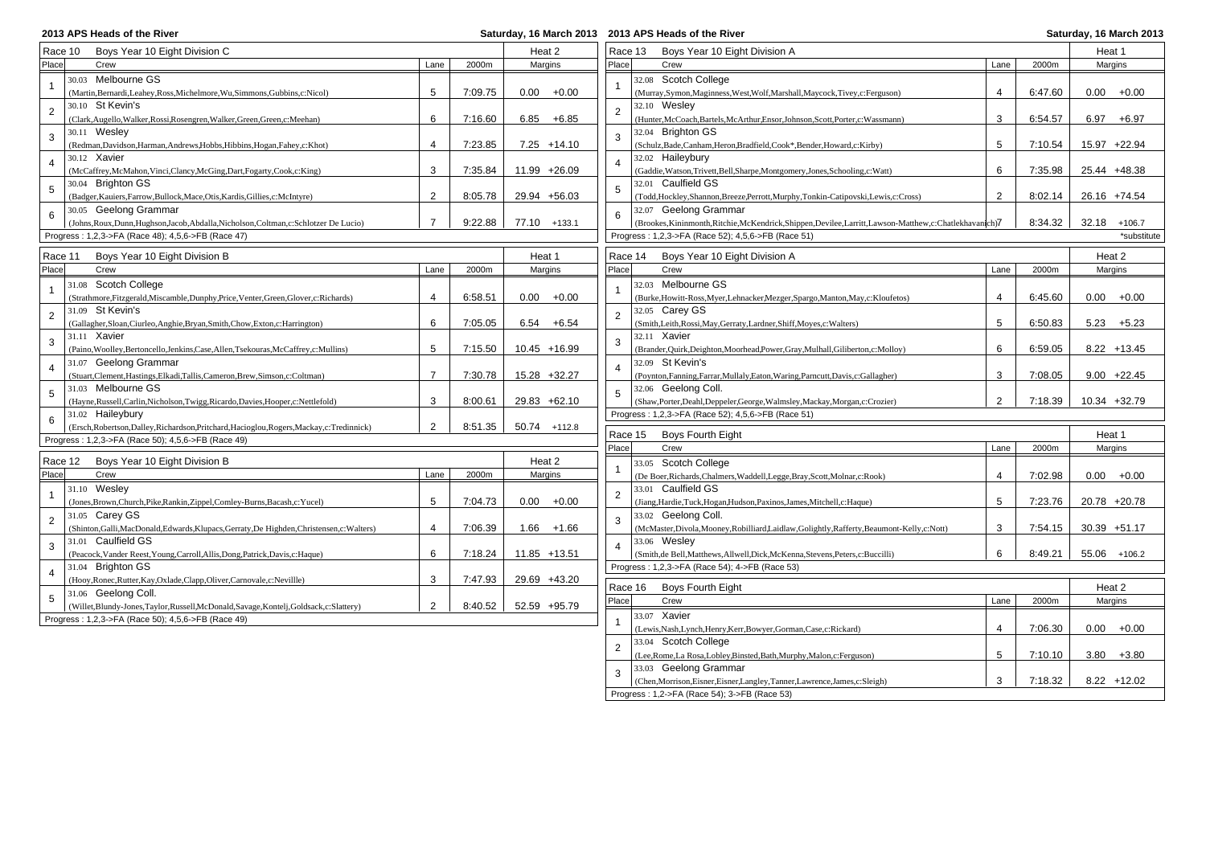| 2013 APS Heads of the River |                                                                                             |                | Saturday, 16 March 2013 2013 APS Heads of the River |                 | Saturday, 16 March 2013                                                                                        |         |                 |
|-----------------------------|---------------------------------------------------------------------------------------------|----------------|-----------------------------------------------------|-----------------|----------------------------------------------------------------------------------------------------------------|---------|-----------------|
| Race 10                     | Boys Year 10 Eight Division C                                                               |                |                                                     | Heat 2          | Race 13<br>Boys Year 10 Eight Division A                                                                       |         | Heat 1          |
| Place                       | Crew                                                                                        | Lane           | 2000m                                               | Margins         | Place<br>Crew<br>Lane                                                                                          | 2000m   | Margins         |
|                             | 30.03 Melbourne GS                                                                          |                |                                                     |                 | 32.08 Scotch College                                                                                           |         |                 |
| $\overline{1}$              | (Martin, Bernardi, Leahey, Ross, Michelmore, Wu, Simmons, Gubbins, c: Nicol)                | 5              | 7:09.75                                             | $0.00 + 0.00$   | $\overline{4}$<br>(Murray, Symon, Maginness, West, Wolf, Marshall, Maycock, Tivey, c: Ferguson)                | 6:47.60 | $0.00 + 0.00$   |
|                             | 30.10 St Kevin's                                                                            |                |                                                     |                 | 32.10 Wesley                                                                                                   |         |                 |
| $\overline{\mathbf{c}}$     | (Clark, Augello, Walker, Rossi, Rosengren, Walker, Green, Green, c: Meehan)                 | 6              | 7:16.60                                             | $6.85 + 6.85$   | $\overline{2}$<br>3<br>(Hunter, McCoach, Bartels, McArthur, Ensor, Johnson, Scott, Porter, c: Wassmann)        | 6:54.57 | $6.97 + 6.97$   |
|                             | 30.11 Wesley                                                                                |                |                                                     |                 | 32.04 Brighton GS                                                                                              |         |                 |
| $\mathbf{3}$                | (Redman, Davidson, Harman, Andrews, Hobbs, Hibbins, Hogan, Fahey, c: Khot)                  | $\overline{4}$ | 7:23.85                                             | $7.25 + 14.10$  | 3<br>5<br>(Schulz, Bade, Canham, Heron, Bradfield, Cook*, Bender, Howard, c: Kirby)                            | 7:10.54 | 15.97 +22.94    |
|                             | 30.12 Xavier                                                                                |                |                                                     |                 | 32.02 Haileybury                                                                                               |         |                 |
| $\overline{4}$              | (McCaffrey, McMahon, Vinci, Clancy, McGing, Dart, Fogarty, Cook, c: King)                   | 3              | 7:35.84                                             | 11.99 +26.09    | $\overline{4}$<br>6<br>(Gaddie, Watson, Trivett, Bell, Sharpe, Montgomery, Jones, Schooling, c: Watt)          | 7:35.98 | 25.44 +48.38    |
|                             | 30.04 Brighton GS                                                                           |                |                                                     |                 | 32.01 Caulfield GS                                                                                             |         |                 |
| 5                           | (Badger, Kauiers, Farrow, Bullock, Mace, Otis, Kardis, Gillies, c: McIntyre)                | 2              | 8:05.78                                             | 29.94 +56.03    | 5<br>$\mathcal{P}$<br>(Todd, Hockley, Shannon, Breeze, Perrott, Murphy, Tonkin-Catipovski, Lewis, c: Cross)    | 8:02.14 | 26.16 +74.54    |
|                             | 30.05 Geelong Grammar                                                                       |                |                                                     |                 | 32.07 Geelong Grammar                                                                                          |         |                 |
| 6                           | (Johns, Roux, Dunn, Hughson, Jacob, Abdalla, Nicholson, Coltman, c: Schlotzer De Lucio)     | $\overline{7}$ | 9:22.88                                             | 77.10 +133.1    | 6<br>(Brookes, Kininmonth, Ritchie, McKendrick, Shippen, Devilee, Larritt, Lawson-Matthew, c: Chatlekhavanch)7 | 8:34.32 | $32.18 + 106.7$ |
|                             | Progress: 1,2,3->FA (Race 48); 4,5,6->FB (Race 47)                                          |                |                                                     |                 | Progress: 1,2,3->FA (Race 52); 4,5,6->FB (Race 51)                                                             |         | *substitute     |
|                             |                                                                                             |                |                                                     |                 |                                                                                                                |         |                 |
| Race 11                     | Boys Year 10 Eight Division B                                                               |                |                                                     | Heat 1          | Race 14<br>Boys Year 10 Eight Division A                                                                       |         | Heat 2          |
| Place                       | Crew                                                                                        | Lane           | 2000m                                               | Margins         | Place<br>Crew<br>Lane                                                                                          | 2000m   | Margins         |
| $\overline{1}$              | 31.08 Scotch College                                                                        |                |                                                     |                 | 32.03 Melbourne GS                                                                                             |         |                 |
|                             | (Strathmore, Fitzgerald, Miscamble, Dunphy, Price, Venter, Green, Glover, c: Richards)      | 4              | 6:58.51                                             | 0.00<br>$+0.00$ | $\overline{4}$<br>(Burke, Howitt-Ross, Myer, Lehnacker, Mezger, Spargo, Manton, May, c: Kloufetos)             | 6:45.60 | 0.00<br>$+0.00$ |
| $\overline{c}$              | 31.09 St Kevin's                                                                            |                |                                                     |                 | 32.05 Carey GS<br>$\overline{2}$                                                                               |         |                 |
|                             | (Gallagher, Sloan, Ciurleo, Anghie, Bryan, Smith, Chow, Exton, c: Harrington)               | 6              | 7:05.05                                             | $6.54 + 6.54$   | 5<br>(Smith,Leith,Rossi,May,Gerraty,Lardner,Shiff,Moyes,c:Walters)                                             | 6:50.83 | $5.23 + 5.23$   |
| 3                           | 31.11 Xavier                                                                                |                |                                                     |                 | 32.11 Xavier<br>3                                                                                              |         |                 |
|                             | (Paino, Woolley, Bertoncello, Jenkins, Case, Allen, Tsekouras, McCaffrey, c: Mullins)       | 5              | 7:15.50                                             | 10.45 +16.99    | 6<br>(Brander, Quirk, Deighton, Moorhead, Power, Gray, Mulhall, Giliberton, c: Molloy)                         | 6:59.05 | $8.22 + 13.45$  |
| $\overline{\mathbf{4}}$     | 31.07 Geelong Grammar                                                                       |                |                                                     |                 | 32.09 St Kevin's<br>$\overline{4}$                                                                             |         |                 |
|                             | (Stuart, Clement, Hastings, Elkadi, Tallis, Cameron, Brew, Simson, c: Coltman)              | $\overline{7}$ | 7:30.78                                             | 15.28 +32.27    | 3<br>(Poynton, Fanning, Farrar, Mullaly, Eaton, Waring, Parncutt, Davis, c: Gallagher)                         | 7:08.05 | $9.00 +22.45$   |
| $\overline{5}$              | 31.03 Melbourne GS                                                                          |                |                                                     |                 | 32.06 Geelong Coll.<br>5                                                                                       |         |                 |
|                             | (Hayne, Russell, Carlin, Nicholson, Twigg, Ricardo, Davies, Hooper, c: Nettlefold)          | 3              | 8:00.61                                             | 29.83 +62.10    | 2<br>(Shaw,Porter,Deahl,Deppeler,George,Walmsley,Mackay,Morgan,c:Crozier)                                      | 7:18.39 | 10.34 +32.79    |
|                             | 31.02 Haileybury                                                                            |                |                                                     |                 | Progress: 1,2,3->FA (Race 52); 4,5,6->FB (Race 51)                                                             |         |                 |
| 6                           | (Ersch, Robertson, Dalley, Richardson, Pritchard, Hacioglou, Rogers, Mackay, c: Tredinnick) | $\overline{2}$ | 8:51.35                                             | $50.74$ +112.8  |                                                                                                                |         |                 |
|                             | Progress: 1,2,3->FA (Race 50); 4,5,6->FB (Race 49)                                          |                |                                                     |                 | Race 15<br>Boys Fourth Eight                                                                                   |         | Heat 1          |
|                             |                                                                                             |                |                                                     |                 | Place<br>Crew<br>Lane                                                                                          | 2000m   | Margins         |
| Race 12                     | Boys Year 10 Eight Division B                                                               |                |                                                     | Heat 2          | 33.05 Scotch College                                                                                           |         |                 |
| Place                       | Crew                                                                                        | Lane           | 2000m                                               | Margins         | (De Boer, Richards, Chalmers, Waddell, Legge, Bray, Scott, Molnar, c: Rook)<br>4                               | 7:02.98 | $0.00 + 0.00$   |
| $\overline{1}$              | 31.10 Wesley                                                                                |                |                                                     |                 | 33.01 Caulfield GS<br>2                                                                                        |         |                 |
|                             | (Jones, Brown, Church, Pike, Rankin, Zippel, Comley-Burns, Bacash, c: Yucel)                | 5              | 7:04.73                                             | $0.00 + 0.00$   | 5<br>(Jiang, Hardie, Tuck, Hogan, Hudson, Paxinos, James, Mitchell, c: Haque)                                  | 7:23.76 | 20.78 +20.78    |
| $\overline{2}$              | 31.05 Carey GS                                                                              |                |                                                     |                 | 33.02 Geelong Coll.<br>3                                                                                       |         |                 |
|                             | (Shinton, Galli, MacDonald, Edwards, Klupacs, Gerraty, De Highden, Christensen, c: Walters) | 4              | 7:06.39                                             | $1.66 + 1.66$   | 3<br>(McMaster,Divola,Mooney,Robilliard,Laidlaw,Golightly,Rafferty,Beaumont-Kelly,c:Nott)                      | 7:54.15 | $30.39 +51.17$  |
| $\mathbf{3}$                | 31.01 Caulfield GS                                                                          |                |                                                     |                 | 33.06 Wesley<br>$\overline{4}$                                                                                 |         |                 |
|                             | (Peacock, Vander Reest, Young, Carroll, Allis, Dong, Patrick, Davis, c: Haque)              | 6              | 7:18.24                                             | 11.85 +13.51    | 6<br>(Smith, de Bell, Matthews, Allwell, Dick, McKenna, Stevens, Peters, c: Buccilli)                          | 8:49.21 | 55.06 +106.2    |
| $\overline{4}$              | 31.04 Brighton GS                                                                           |                |                                                     |                 | Progress: 1,2,3->FA (Race 54); 4->FB (Race 53)                                                                 |         |                 |
|                             | (Hooy, Ronec, Rutter, Kay, Oxlade, Clapp, Oliver, Carnovale, c: Nevillle)                   | 3              | 7:47.93                                             | 29.69 +43.20    | Race 16<br><b>Boys Fourth Eight</b>                                                                            |         | Heat 2          |
| 5                           | 31.06 Geelong Coll.                                                                         |                |                                                     |                 | Place<br>Crew<br>Lane                                                                                          | 2000m   | Margins         |
|                             | (Willet,Blundy-Jones,Taylor,Russell,McDonald,Savage,Kontelj,Goldsack,c:Slattery)            | $\overline{2}$ | 8:40.52                                             | 52.59 +95.79    |                                                                                                                |         |                 |
|                             | Progress: 1,2,3->FA (Race 50); 4,5,6->FB (Race 49)                                          |                |                                                     |                 | 33.07 Xavier                                                                                                   |         |                 |
|                             |                                                                                             |                |                                                     |                 | $\overline{4}$<br>(Lewis, Nash, Lynch, Henry, Kerr, Bowyer, Gorman, Case, c: Rickard)                          | 7:06.30 | $0.00 + 0.00$   |
|                             |                                                                                             |                |                                                     |                 | 33.04 Scotch College<br>$\overline{2}$                                                                         |         |                 |
|                             |                                                                                             |                |                                                     |                 | 5<br>(Lee, Rome, La Rosa, Lobley, Binsted, Bath, Murphy, Malon, c: Ferguson)                                   | 7:10.10 | $3.80 + 3.80$   |
|                             |                                                                                             |                |                                                     |                 | 33.03 Geelong Grammar<br>3                                                                                     |         |                 |
|                             |                                                                                             |                |                                                     |                 | 3<br>(Chen, Morrison, Eisner, Eisner, Langley, Tanner, Lawrence, James, c: Sleigh)                             | 7:18.32 | $8.22 + 12.02$  |

Progress : 1,2->FA (Race 54); 3->FB (Race 53)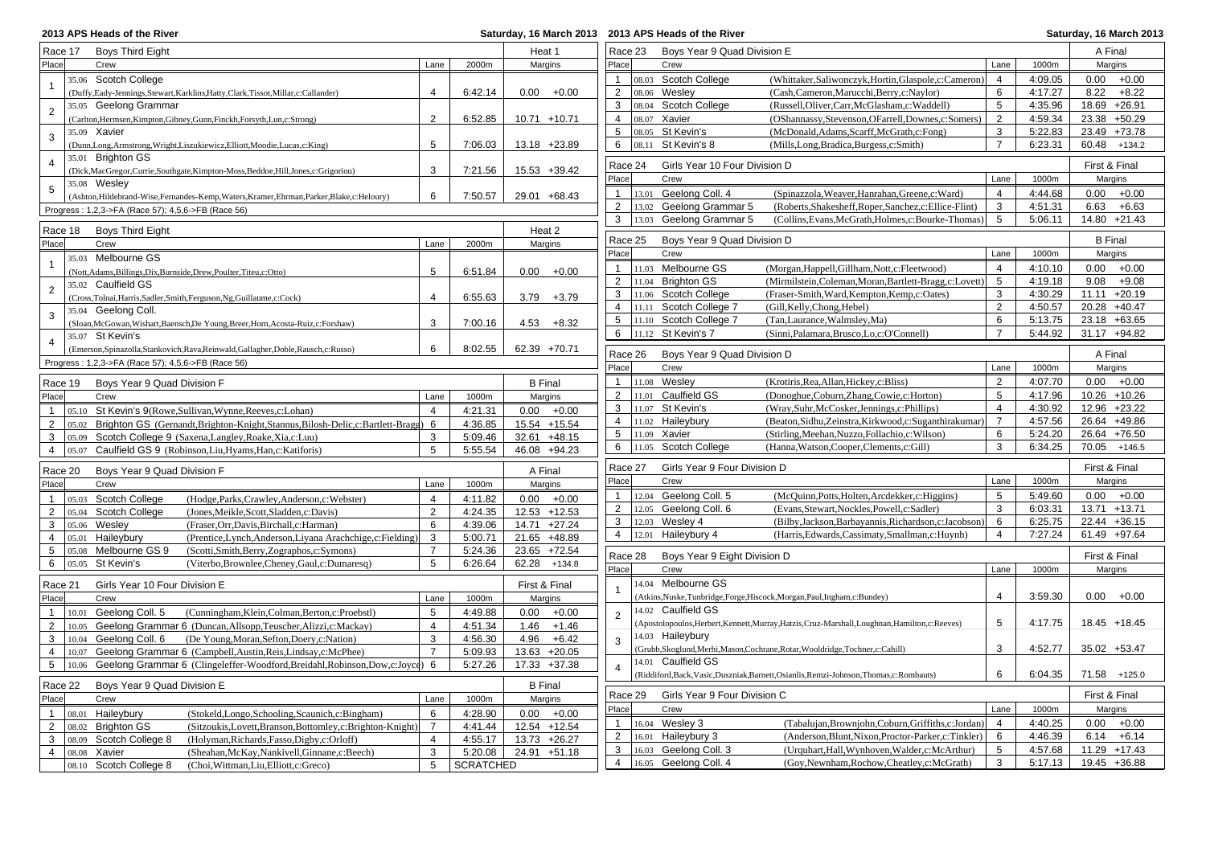## **2013 APS Heads of the River**

## **2013 APS Heads of the River Saturday, 16 March 2013**

| Race 17                   | <b>Boys Third Eight</b>                                                                                                                        |                |                  | Heat 1               |                    | Race 23                                  |  | Boys Year 9 Quad Division E  |                                                                                                  |                     |         | A Final         |
|---------------------------|------------------------------------------------------------------------------------------------------------------------------------------------|----------------|------------------|----------------------|--------------------|------------------------------------------|--|------------------------------|--------------------------------------------------------------------------------------------------|---------------------|---------|-----------------|
| Place                     | Crew                                                                                                                                           | Lane           | 2000m            | Margins              |                    | Place                                    |  | Crew                         |                                                                                                  | Lane                | 1000m   | Margins         |
|                           | 35.06 Scotch College                                                                                                                           |                |                  |                      |                    | $\mathbf{1}$                             |  | 08.03 Scotch College         | (Whittaker,Saliwonczyk,Hortin,Glaspole,c:Cameron)                                                | $\overline{4}$      | 4:09.05 | $0.00 + 0.00$   |
| $\overline{1}$            | (Duffy,Eady-Jennings,Stewart,Karklins,Hatty,Clark,Tissot,Millar,c:Callander)                                                                   | $\overline{4}$ | 6:42.14          | $0.00 + 0.00$        |                    | $\overline{2}$                           |  | 08.06 Wesley                 | (Cash,Cameron,Marucchi,Berry,c:Naylor)                                                           | 6                   | 4:17.27 | $8.22 + 8.22$   |
|                           | 35.05 Geelong Grammar                                                                                                                          |                |                  |                      |                    | 3                                        |  | 08.04 Scotch College         | (Russell, Oliver, Carr, McGlasham, c: Waddell)                                                   | 5                   | 4:35.96 | 18.69 +26.91    |
| $\sqrt{2}$                | (Carlton, Hermsen, Kimpton, Gibney, Gunn, Finckh, Forsyth, Lun, c: Strong)                                                                     | $\overline{2}$ | 6:52.85          | 10.71 +10.71         |                    | $\overline{4}$                           |  | 08.07 Xavier                 | (OShannassy, Stevenson, OFarrell, Downes, c: Somers)                                             | $\overline{2}$      | 4:59.34 | 23.38 +50.29    |
|                           | 35.09 Xavier                                                                                                                                   |                |                  |                      |                    | 5                                        |  | 08.05 St Kevin's             | (McDonald, Adams, Scarff, McGrath, c: Fong)                                                      | 3                   | 5:22.83 | 23.49 +73.78    |
| $\ensuremath{\mathsf{3}}$ | (Dunn, Long, Armstrong, Wright, Liszukiewicz, Elliott, Moodie, Lucas, c: King)                                                                 | 5              | 7:06.03          | 13.18 +23.89         |                    | 6                                        |  | 08.11 St Kevin's 8           | (Mills, Long, Bradica, Burgess, c: Smith)                                                        | $\overline{7}$      | 6:23.31 | 60.48 +134.2    |
|                           | 35.01 Brighton GS                                                                                                                              |                |                  |                      |                    |                                          |  |                              |                                                                                                  |                     |         |                 |
| $\overline{\mathbf{4}}$   | (Dick, MacGregor, Currie, Southgate, Kimpton-Moss, Beddoe, Hill, Jones, c: Grigoriou)                                                          | 3              | 7:21.56          | 15.53 +39.42         |                    | Girls Year 10 Four Division D<br>Race 24 |  |                              |                                                                                                  |                     |         | First & Final   |
|                           | 35.08 Wesley                                                                                                                                   |                |                  |                      |                    | Place                                    |  | Crew                         |                                                                                                  | Lane                | 1000m   | Margins         |
| $\sqrt{5}$                | (Ashton, Hildebrand-Wise, Fernandes-Kemp, Waters, Kramer, Ehrman, Parker, Blake, c: Heloury)                                                   | 6              | 7:50.57          | 29.01 +68.43         |                    | 1                                        |  | 13.01 Geelong Coll. 4        | (Spinazzola, Weaver, Hanrahan, Greene, c: Ward)                                                  | $\overline{4}$      | 4:44.68 | 0.00<br>$+0.00$ |
|                           | Progress: 1,2,3->FA (Race 57); 4,5,6->FB (Race 56)                                                                                             |                |                  |                      |                    | $\overline{2}$                           |  | 13.02 Geelong Grammar 5      | (Roberts, Shakesheff, Roper, Sanchez, c: Ellice-Flint)                                           | $\mathbf{3}$        | 4:51.31 | 6.63<br>$+6.63$ |
|                           |                                                                                                                                                |                |                  |                      |                    | 3 <sup>1</sup>                           |  | 13.03 Geelong Grammar 5      | (Collins, Evans, McGrath, Holmes, c: Bourke-Thomas)                                              | 5                   | 5:06.11 | 14.80 +21.43    |
| Race 18                   | Boys Third Eight                                                                                                                               |                |                  | Heat 2               |                    |                                          |  |                              |                                                                                                  |                     |         | <b>B</b> Final  |
| Place                     | Crew                                                                                                                                           | Lane           | 2000m            | Margins              |                    | Race 25                                  |  | Boys Year 9 Quad Division D  |                                                                                                  |                     |         |                 |
| $\overline{1}$            | 35.03 Melbourne GS                                                                                                                             |                |                  |                      |                    | Place                                    |  | Crew                         |                                                                                                  | Lane                | 1000m   | Margins         |
|                           | (Nott, Adams, Billings, Dix, Burnside, Drew, Poulter, Titeu, c: Otto)                                                                          | 5              | 6:51.84          | $0.00 + 0.00$        |                    | 1                                        |  | 11.03 Melbourne GS           | (Morgan, Happell, Gillham, Nott, c: Fleetwood)                                                   | $\overline{4}$      | 4:10.10 | $0.00 + 0.00$   |
| $\sqrt{2}$                | 35.02 Caulfield GS                                                                                                                             |                |                  |                      |                    | $\overline{2}$                           |  | 11.04 Brighton GS            | (Mirmilstein, Coleman, Moran, Bartlett-Bragg, c: Lovett)                                         | 5                   | 4:19.18 | 9.08<br>$+9.08$ |
|                           | (Cross,Tolnai,Harris,Sadler,Smith,Ferguson,Ng,Guillaume,c:Cock)                                                                                | $\overline{4}$ | 6:55.63          | $3.79 + 3.79$        |                    | 3                                        |  | 11.06 Scotch College         | (Fraser-Smith, Ward, Kempton, Kemp, c: Oates)                                                    | 3                   | 4:30.29 | $11.11 + 20.19$ |
| 3                         | 35.04 Geelong Coll.                                                                                                                            |                |                  |                      |                    | $\overline{4}$                           |  | 11.11 Scotch College 7       | (Gill, Kelly, Chong, Hebel)                                                                      | 2                   | 4:50.57 | 20.28 +40.47    |
|                           | (Sloan, McGowan, Wishart, Baensch, De Young, Breer, Horn, Acosta-Ruiz, c: Forshaw)                                                             | 3              | 7:00.16          | $4.53 + 8.32$        |                    | 5                                        |  | 11.10 Scotch College 7       | (Tan,Laurance,Walmsley,Ma)                                                                       | 6<br>$\overline{7}$ | 5:13.75 | 23.18 +63.65    |
| $\overline{\mathbf{4}}$   | 35.07 St Kevin's                                                                                                                               |                |                  |                      |                    |                                          |  | 6   11.12 St Kevin's 7       | (Sinni, Palamara, Brusco, Lo, c: O'Connell)                                                      |                     | 5:44.92 | 31.17 +94.82    |
|                           | (Emerson, Spinazolla, Stankovich, Rava, Reinwald, Gallagher, Doble, Rausch, c: Russo)                                                          | 6              | 8:02.55          | 62.39 +70.71         |                    | Race 26                                  |  | Boys Year 9 Quad Division D  |                                                                                                  |                     |         | A Final         |
|                           | Progress: 1,2,3->FA (Race 57); 4,5,6->FB (Race 56)                                                                                             |                |                  |                      |                    | Place                                    |  | Crew                         |                                                                                                  | Lane                | 1000m   | Margins         |
| Race 19                   | Boys Year 9 Quad Division F                                                                                                                    |                |                  | <b>B</b> Final       |                    | 1                                        |  | 11.08 Wesley                 | (Krotiris, Rea, Allan, Hickey, c: Bliss)                                                         | 2                   | 4:07.70 | $0.00 + 0.00$   |
| Place                     | Crew                                                                                                                                           | Lane           | 1000m            | Margins              |                    | $\overline{2}$                           |  | 11.01 Caulfield GS           | (Donoghue,Coburn,Zhang,Cowie,c:Horton)                                                           | 5                   | 4:17.96 | $10.26 + 10.26$ |
| $\mathbf{1}$              | St Kevin's 9(Rowe, Sullivan, Wynne, Reeves, c: Lohan)<br>05.10                                                                                 | $\overline{4}$ | 4:21.31          | 0.00                 | $+0.00$            | 3                                        |  | 11.07 St Kevin's             | (Wray, Suhr, McCosker, Jennings, c: Phillips)                                                    | $\overline{4}$      | 4:30.92 | 12.96 +23.22    |
| $\overline{2}$            | Brighton GS (Gernandt, Brighton-Knight, Stannus, Bilosh-Delic, c: Bartlett-Bragg)<br>05.02                                                     | 6              | 4:36.85          | 15.54 +15.54         |                    | $\overline{4}$                           |  | 11.02 Haileybury             | (Beaton, Sidhu, Zeinstra, Kirkwood, c: Suganthirakumar                                           | $\overline{7}$      | 4:57.56 | 26.64 +49.86    |
| 3 <sup>1</sup>            | 05.09 Scotch College 9 (Saxena, Langley, Roake, Xia, c: Luu)                                                                                   | 3              | 5:09.46          | 32.61 +48.15         |                    | 5 <sup>5</sup>                           |  | 11.09 Xavier                 | (Stirling, Meehan, Nuzzo, Follachio, c: Wilson)                                                  | 6                   | 5:24.20 | 26.64 +76.50    |
| 4                         | Caulfield GS 9 (Robinson, Liu, Hyams, Han, c: Katiforis)<br>05.07                                                                              | 5              | 5:55.54          | 46.08 +94.23         |                    | 6                                        |  | 11.05 Scotch College         | (Hanna, Watson, Cooper, Clements, c: Gill)                                                       | 3                   | 6:34.25 | 70.05 +146.5    |
|                           |                                                                                                                                                |                |                  |                      |                    |                                          |  |                              |                                                                                                  |                     |         |                 |
| Race 20                   | Boys Year 9 Quad Division F                                                                                                                    |                |                  | A Final              |                    | Race 27                                  |  | Girls Year 9 Four Division D |                                                                                                  |                     |         | First & Final   |
| Place                     | Crew                                                                                                                                           | Lane           | 1000m            | Margins              |                    | Place                                    |  | Crew                         |                                                                                                  | Lane                | 1000m   | Margins         |
| $\mathbf{1}$              | 05.03 Scotch College<br>(Hodge, Parks, Crawley, Anderson, c: Webster)                                                                          | $\overline{4}$ | 4:11.82          | $0.00 + 0.00$        |                    | $\mathbf{1}$                             |  | 12.04 Geelong Coll. 5        | (McQuinn, Potts, Holten, Arcdekker, c: Higgins)                                                  | 5                   | 5:49.60 | $0.00 + 0.00$   |
| $\overline{2}$            | Scotch College<br>05.04<br>(Jones, Meikle, Scott, Sladden, c: Davis)                                                                           | $\overline{2}$ | 4:24.35          | 12.53 +12.53         |                    | $\overline{2}$                           |  | 12.05 Geelong Coll. 6        | (Evans, Stewart, Nockles, Powell, c: Sadler)                                                     | 3                   | 6:03.31 | 13.71 +13.71    |
| 3 <sup>7</sup>            | $05.06$ Wesley<br>(Fraser, Orr, Davis, Birchall, c: Harman)                                                                                    | 6              | 4:39.06          | 14.71 +27.24         |                    | 3                                        |  | 12.03 Wesley 4               | (Bilby, Jackson, Barbayannis, Richardson, c: Jacobson)                                           | 6                   | 6:25.75 | 22.44 +36.15    |
| $\overline{4}$            | 05.01 Haileybury<br>(Prentice, Lynch, Anderson, Liyana Arachchige, c: Fielding)                                                                | 3              | 5:00.71          | 21.65 +48.89         |                    | $\overline{4}$                           |  | 12.01 Haileybury 4           | (Harris, Edwards, Cassimaty, Smallman, c: Huynh)                                                 | $\overline{4}$      | 7:27.24 | 61.49 +97.64    |
| $5^{\circ}$               | Melbourne GS 9<br>05.08<br>(Scotti, Smith, Berry, Zographos, c: Symons)                                                                        | $\overline{7}$ | 5:24.36          | 23.65 +72.54         |                    | Race 28                                  |  | Boys Year 9 Eight Division D |                                                                                                  |                     |         | First & Final   |
|                           | 6 05.05 St Kevin's<br>(Viterbo, Brownlee, Cheney, Gaul, c: Dumaresq)                                                                           | 5              | 6:26.64          | 62.28 +134.8         |                    | Place                                    |  | Crew                         |                                                                                                  | Lane                | 1000m   | Margins         |
| Race 21                   | Girls Year 10 Four Division E                                                                                                                  |                |                  | First & Final        |                    |                                          |  | 14.04 Melbourne GS           |                                                                                                  |                     |         |                 |
| Place                     | Crew                                                                                                                                           | Lane           | 1000m            | Margins              |                    |                                          |  |                              | (Atkins, Nuske, Tunbridge, Forge, Hiscock, Morgan, Paul, Ingham, c: Bundey)                      | $\overline{4}$      | 3:59.30 | 0.00<br>$+0.00$ |
|                           |                                                                                                                                                |                |                  |                      |                    |                                          |  | 14.02 Caulfield GS           |                                                                                                  |                     |         |                 |
| $\mathbf{1}$              | $10.01$ Geelong Coll. 5<br>(Cunningham, Klein, Colman, Berton, c: Proebstl)                                                                    | 5<br>4         | 4:49.88          | 0.00<br>1.46         | $+0.00$<br>$+1.46$ | $\overline{2}$                           |  |                              | (Apostolopoulos, Herbert, Kennett, Murray, Hatzis, Cruz-Marshall, Loughnan, Hamilton, c: Reeves) | 5                   | 4:17.75 | 18.45 +18.45    |
| 2                         | 10.05 Geelong Grammar 6 (Duncan, Allsopp, Teuscher, Alizzi, c: Mackay)                                                                         | 3              | 4:51.34          |                      |                    |                                          |  | 14.03 Haileybury             |                                                                                                  |                     |         |                 |
| 3<br>$\overline{4}$       | $10.04$ Geelong Coll. 6<br>(De Young, Moran, Sefton, Doery, c: Nation)<br>10.07 Geelong Grammar 6 (Campbell, Austin, Reis, Lindsay, c: McPhee) | $\overline{7}$ | 4:56.30          | 4.96<br>13.63 +20.05 | $+6.42$            | 3                                        |  |                              | (Grubb, Skoglund, Merhi, Mason, Cochrane, Rotar, Wooldridge, Tochner, c: Cahill)                 | $\mathbf{3}$        | 4:52.77 | 35.02 +53.47    |
|                           |                                                                                                                                                |                | 5:09.93          |                      |                    |                                          |  | 14.01 Caulfield GS           |                                                                                                  |                     |         |                 |
| 5 <sub>5</sub>            | Geelong Grammar 6 (Clingeleffer-Woodford, Breidahl, Robinson, Dow, c: Joyce) 6<br>10.06                                                        |                | 5:27.26          | 17.33 +37.38         |                    | $\overline{4}$                           |  |                              | (Riddiford, Back, Vasic, Duszniak, Barnett, Osianlis, Remzi-Johnson, Thomas, c: Rombauts)        | 6                   | 6:04.35 | 71.58 +125.0    |
| Race 22                   | Boys Year 9 Quad Division E                                                                                                                    |                |                  | <b>B</b> Final       |                    |                                          |  |                              |                                                                                                  |                     |         |                 |
| Place                     | Crew                                                                                                                                           | Lane           | 1000m            | Margins              |                    | Race 29                                  |  | Girls Year 9 Four Division C |                                                                                                  |                     |         | First & Final   |
| $\mathbf{1}$              | 08.01 Haileybury<br>(Stokeld,Longo,Schooling,Scaunich,c:Bingham)                                                                               | 6              | 4:28.90          | $0.00 + 0.00$        |                    | Place                                    |  | Crew                         |                                                                                                  | Lane                | 1000m   | Margins         |
| $\overline{2}$            | 08.02 Brighton GS<br>(Sitzoukis,Lovett,Branson,Bottomley,c:Brighton-Knight)                                                                    | $\overline{7}$ | 4:41.44          | 12.54 +12.54         |                    | $\mathbf{1}$                             |  | 16.04 Wesley 3               | (Tabalujan, Brownjohn, Coburn, Griffiths, c: Jordan)                                             | 4                   | 4:40.25 | 0.00<br>$+0.00$ |
| 3                         | 08.09 Scotch College 8<br>(Holyman, Richards, Fasso, Digby, c: Orloff)                                                                         | $\overline{4}$ | 4:55.17          | 13.73 +26.27         |                    | $\overline{2}$                           |  | 16.01 Haileybury 3           | (Anderson, Blunt, Nixon, Proctor-Parker, c: Tinkler)                                             | 6                   | 4:46.39 | $6.14 + 6.14$   |
| $\overline{4}$            | $\begin{array}{ c c }\n 08.08 & \text{Xavier}\n \end{array}$<br>(Sheahan, McKay, Nankivell, Ginnane, c: Beech)                                 | 3              | 5:20.08          | 24.91 +51.18         |                    | 3 <sup>1</sup>                           |  | 16.03 Geelong Coll. 3        | (Urquhart, Hall, Wynhoven, Walder, c: McArthur)                                                  | 5                   | 4:57.68 | 11.29 +17.43    |
|                           | 08.10 Scotch College 8<br>(Choi, Wittman, Liu, Elliott, c: Greco)                                                                              | 5              | <b>SCRATCHED</b> |                      |                    | $\overline{4}$                           |  | 16.05 Geelong Coll. 4        | (Goy, Newnham, Rochow, Cheatley, c: McGrath)                                                     | 3                   | 5:17.13 | 19.45 +36.88    |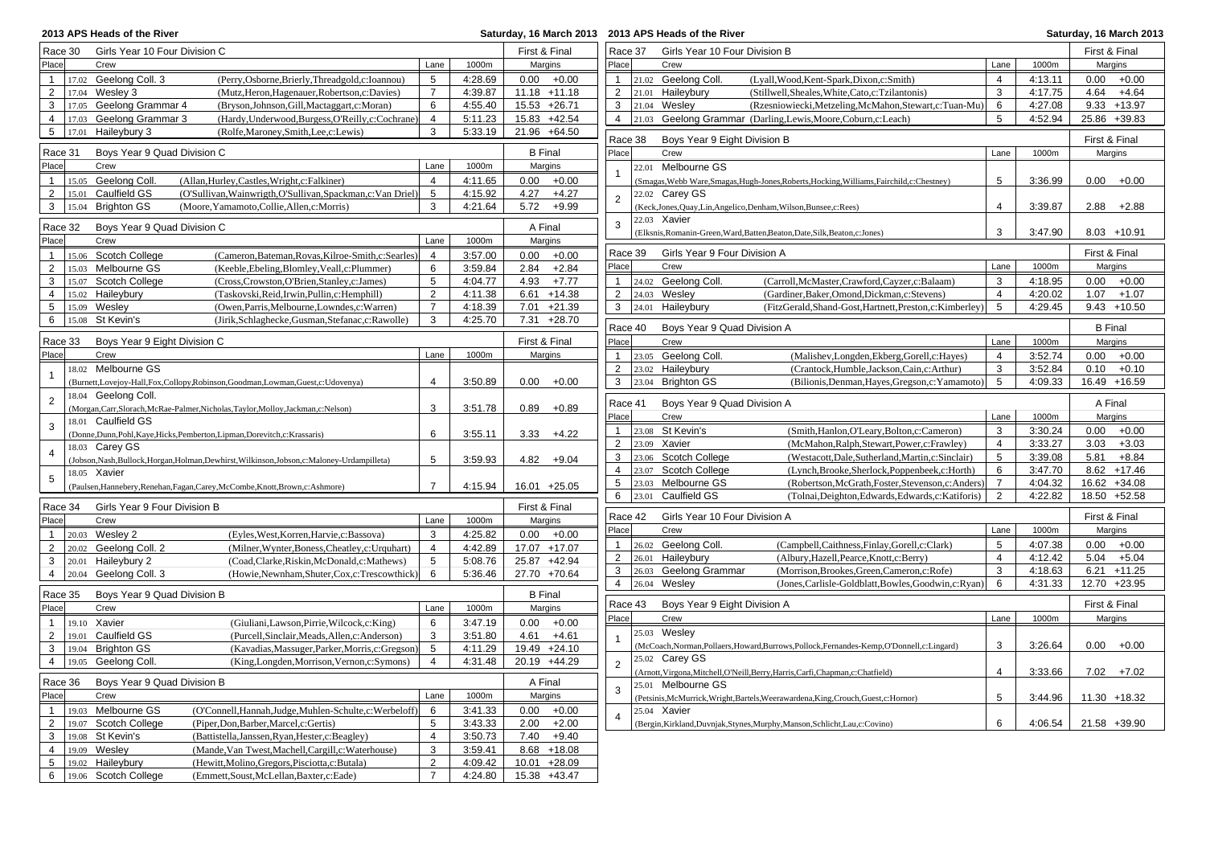|                     | 2013 APS Heads of the River              |                                       |                                                                                               |                     |                                          | Saturday, 16 March 2013 2013 APS Heads of the River |                                          |                                  |                              |                                                                                              | Saturday, 16 March 2013 |                    |                |                                |
|---------------------|------------------------------------------|---------------------------------------|-----------------------------------------------------------------------------------------------|---------------------|------------------------------------------|-----------------------------------------------------|------------------------------------------|----------------------------------|------------------------------|----------------------------------------------------------------------------------------------|-------------------------|--------------------|----------------|--------------------------------|
|                     | Race 30<br>Girls Year 10 Four Division C |                                       |                                                                                               | First & Final       | Race 37<br>Girls Year 10 Four Division B |                                                     |                                          |                                  |                              |                                                                                              | First & Final           |                    |                |                                |
| Place               |                                          | Crew                                  |                                                                                               | Lane                | 1000m                                    | Margins                                             | Place                                    | Crew                             |                              |                                                                                              | Lane                    | 1000m              | Margins        |                                |
| 1                   |                                          | 17.02 Geelong Coll. 3                 | (Perry, Osborne, Brierly, Threadgold, c: Ioannou)                                             | 5                   | 4:28.69                                  | $0.00 + 0.00$                                       |                                          | $1 \quad 21.02$ Geelong Coll.    |                              | (Lyall, Wood, Kent-Spark, Dixon, c: Smith)                                                   | $\overline{4}$          | 4:13.11            |                | $0.00 + 0.00$                  |
| $\overline{2}$      |                                          | 17.04 Wesley 3                        | (Mutz, Heron, Hagenauer, Robertson, c: Davies)                                                | $\overline{7}$      | 4:39.87                                  | $11.18 + 11.18$                                     | $2^{\circ}$                              | 21.01 Haileybury                 |                              | (Stillwell, Sheales, White, Cato, c: Tzilantonis)                                            | 3                       | 4:17.75            |                | $4.64 + 4.64$                  |
| 3                   |                                          | 17.05 Geelong Grammar 4               | (Bryson, Johnson, Gill, Mactaggart, c: Moran)                                                 | 6                   | 4:55.40                                  | 15.53 +26.71                                        | 3 <sup>1</sup>                           | $21.04$ Weslev                   |                              | (Rzesniowiecki, Metzeling, McMahon, Stewart, c: Tuan-Mu)                                     | 6                       | 4:27.08            |                | $9.33 + 13.97$                 |
| $\overline{4}$      |                                          | 17.03 Geelong Grammar 3               | (Hardy, Underwood, Burgess, O'Reilly, c: Cochrane)                                            | $\overline{4}$      | 5:11.23                                  | 15.83 +42.54                                        | 4<br>21.03                               |                                  |                              | Geelong Grammar (Darling,Lewis,Moore,Coburn,c:Leach)                                         | 5                       | 4:52.94            | 25.86 +39.83   |                                |
|                     |                                          | 5   $17.01$ Haileybury 3              | (Rolfe, Maroney, Smith, Lee, c: Lewis)                                                        | 3                   | 5:33.19                                  | 21.96 +64.50                                        | Race 38                                  |                                  | Boys Year 9 Eight Division B |                                                                                              |                         |                    | First & Final  |                                |
| Race 31             |                                          | Boys Year 9 Quad Division C           |                                                                                               |                     |                                          | <b>B</b> Final                                      | Place                                    | Crew                             |                              |                                                                                              | Lane                    | 1000m              | Margins        |                                |
| Place               |                                          | Crew                                  |                                                                                               | Lane                | 1000m                                    | Margins                                             |                                          | 22.01 Melbourne GS               |                              |                                                                                              |                         |                    |                |                                |
| $\mathbf{1}$        |                                          | 15.05 Geelong Coll.                   | (Allan, Hurley, Castles, Wright, c: Falkiner)                                                 | $\overline{4}$      | 4:11.65                                  | 0.00<br>$+0.00$                                     |                                          |                                  |                              | (Smagas, Webb Ware, Smagas, Hugh-Jones, Roberts, Hocking, Williams, Fairchild, c: Chestney)  | 5                       | 3:36.99            |                | $0.00 + 0.00$                  |
| $\overline{2}$      |                                          | 15.01 Caulfield GS                    | (O'Sullivan, Wainwrigth, O'Sullivan, Spackman, c: Van Driel)                                  | 5                   | 4:15.92                                  | 4.27<br>$+4.27$                                     | 2                                        | 22.02 Carey GS                   |                              |                                                                                              |                         |                    |                |                                |
|                     |                                          | 3   $15.04$ Brighton GS               | (Moore, Yamamoto, Collie, Allen, c: Morris)                                                   | 3                   | 4:21.64                                  | $5.72 + 9.99$                                       |                                          |                                  |                              | (Keck,Jones,Quay,Lin,Angelico,Denham,Wilson,Bunsee,c:Rees)                                   | $\overline{4}$          | 3:39.87            |                | $2.88 + 2.88$                  |
| Race 32             |                                          | Boys Year 9 Quad Division C           |                                                                                               |                     |                                          | A Final                                             | 3                                        | 22.03 Xavier                     |                              |                                                                                              |                         |                    |                |                                |
| Place               |                                          | Crew                                  |                                                                                               | Lane                | 1000m                                    | Margins                                             |                                          |                                  |                              | (Elksnis, Romanin-Green, Ward, Batten, Beaton, Date, Silk, Beaton, c: Jones)                 | 3                       | 3:47.90            |                | $8.03 + 10.91$                 |
| $\mathbf{1}$        |                                          | 15.06 Scotch College                  | (Cameron, Bateman, Rovas, Kilroe-Smith, c: Searles)                                           | 4                   | 3:57.00                                  | 0.00<br>$+0.00$                                     | Race 39                                  |                                  | Girls Year 9 Four Division A |                                                                                              |                         |                    | First & Final  |                                |
| $\overline{2}$      |                                          | 15.03 Melbourne GS                    | (Keeble, Ebeling, Blomley, Veall, c: Plummer)                                                 | 6                   | 3:59.84                                  | 2.84<br>$+2.84$                                     | Place                                    | Crew                             |                              |                                                                                              | Lane                    | 1000m              | Margins        |                                |
| 3                   |                                          | 15.07 Scotch College                  | (Cross,Crowston,O'Brien,Stanley,c:James)                                                      | 5                   | 4:04.77                                  | $+7.77$<br>4.93                                     |                                          | 1 $\vert$ 24.02 Geelong Coll.    |                              | (Carroll, McMaster, Crawford, Cayzer, c: Balaam)                                             | 3                       | 4:18.95            |                | $0.00 + 0.00$                  |
| 4                   |                                          | 15.02 Haileybury                      | (Taskovski, Reid, Irwin, Pullin, c: Hemphill)                                                 | $\overline{2}$      | 4:11.38                                  | $6.61 + 14.38$                                      | $2^{\circ}$                              | $24.03$ Wesley                   |                              | (Gardiner, Baker, Omond, Dickman, c: Stevens)                                                | $\overline{4}$          | 4:20.02            | 1.07           | $+1.07$                        |
| 5 <sup>5</sup>      |                                          | 15.09 Wesley                          | (Owen, Parris, Melbourne, Lowndes, c: Warren)                                                 | $\overline{7}$      | 4:18.39                                  | 7.01 +21.39                                         | 3 <sup>1</sup>                           | 24.01 Haileybury                 |                              | (FitzGerald,Shand-Gost,Hartnett,Preston,c:Kimberley)                                         | 5                       | 4:29.45            |                | $9.43 + 10.50$                 |
| 6                   | 15.08                                    | St Kevin's                            | (Jirik, Schlaghecke, Gusman, Stefanac, c: Rawolle)                                            | 3                   | 4:25.70                                  | 7.31 +28.70                                         | Race 40                                  |                                  | Boys Year 9 Quad Division A  |                                                                                              |                         |                    | <b>B</b> Final |                                |
| Race 33             |                                          | Boys Year 9 Eight Division C          |                                                                                               |                     |                                          | First & Final                                       | Place                                    | Crew                             |                              |                                                                                              | Lane                    | 1000m              | Margins        |                                |
| Place               |                                          | Crew                                  |                                                                                               | Lane                | 1000m                                    | Margins                                             | $\mathbf{1}$                             | 23.05 Geelong Coll.              |                              | (Malishev,Longden,Ekberg,Gorell,c:Hayes)                                                     | $\overline{4}$          | 3:52.74            |                | $0.00 + 0.00$                  |
|                     |                                          | 18.02 Melbourne GS                    |                                                                                               |                     |                                          |                                                     | $\overline{2}$                           | 23.02 Haileybury                 |                              | (Crantock, Humble, Jackson, Cain, c: Arthur)                                                 | 3                       | 3:52.84            |                | $0.10 + 0.10$                  |
| $\overline{1}$      |                                          |                                       | (Burnett,Lovejoy-Hall,Fox,Collopy,Robinson,Goodman,Lowman,Guest,c:Udovenya)                   | $\overline{4}$      | 3:50.89                                  | $+0.00$<br>0.00                                     | 3 <sup>1</sup>                           | 23.04 Brighton GS                |                              | (Bilionis, Denman, Hayes, Gregson, c: Yamamoto)                                              | 5                       | 4:09.33            |                | 16.49 +16.59                   |
| $\overline{2}$      |                                          | 18.04 Geelong Coll.                   |                                                                                               |                     |                                          |                                                     |                                          |                                  |                              |                                                                                              |                         |                    |                |                                |
|                     |                                          |                                       | (Morgan, Carr, Slorach, McRae-Palmer, Nicholas, Taylor, Molloy, Jackman, c: Nelson)           | 3                   | 3:51.78                                  | 0.89<br>$+0.89$                                     | Race 41                                  |                                  | Boys Year 9 Quad Division A  |                                                                                              |                         |                    | A Final        |                                |
| $\mathbf{3}$        |                                          | 18.01 Caulfield GS                    |                                                                                               |                     |                                          |                                                     | Place                                    | Crew                             |                              |                                                                                              | Lane                    | 1000m              | Margins        |                                |
|                     |                                          |                                       | (Donne,Dunn,Pohl,Kaye,Hicks,Pemberton,Lipman,Dorevitch,c:Krassaris)                           | 6                   | 3:55.11                                  | $3.33 +4.22$                                        | $\mathbf{1}$<br>$\overline{2}$           | 23.08 St Kevin's<br>23.09 Xavier |                              | (Smith, Hanlon, O'Leary, Bolton, c: Cameron)<br>(McMahon, Ralph, Stewart, Power, c: Frawley) | 3<br>$\overline{4}$     | 3:30.24<br>3:33.27 |                | $0.00 + 0.00$<br>$3.03 + 3.03$ |
| $\overline{4}$      |                                          | 18.03 Carey GS                        |                                                                                               |                     |                                          |                                                     | 3                                        | 23.06 Scotch College             |                              | (Westacott, Dale, Sutherland, Martin, c: Sinclair)                                           | 5                       | 3:39.08            |                | $5.81 + 8.84$                  |
|                     |                                          | 18.05 Xavier                          | (Jobson, Nash, Bullock, Horgan, Holman, Dewhirst, Wilkinson, Jobson, c: Maloney-Urdampilleta) | 5                   | 3:59.93                                  | 4.82<br>$+9.04$                                     | $\overline{4}$                           | 23.07 Scotch College             |                              | (Lynch, Brooke, Sherlock, Poppenbeek, c: Horth)                                              | 6                       | 3:47.70            |                | $8.62 + 17.46$                 |
| $\sqrt{5}$          |                                          |                                       | (Paulsen, Hannebery, Renehan, Fagan, Carey, McCombe, Knott, Brown, c: Ashmore)                | $\overline{7}$      | 4:15.94                                  | 16.01 +25.05                                        | 5 <sup>5</sup>                           | 23.03 Melbourne GS               |                              | (Robertson, McGrath, Foster, Stevenson, c: Anders                                            | $\overline{7}$          | 4:04.32            | 16.62 +34.08   |                                |
|                     |                                          |                                       |                                                                                               |                     |                                          |                                                     | $6 \mid 23.01$                           | Caulfield GS                     |                              | (Tolnai, Deighton, Edwards, Edwards, c: Katiforis)                                           | $\overline{2}$          | 4:22.82            | 18.50 +52.58   |                                |
| Race 34             |                                          | Girls Year 9 Four Division B          |                                                                                               |                     |                                          | First & Final                                       | Race 42<br>Girls Year 10 Four Division A |                                  |                              |                                                                                              |                         |                    | First & Final  |                                |
| Place               |                                          | Crew                                  |                                                                                               | Lane                | 1000m                                    | Margins                                             | Place                                    | Crew                             |                              |                                                                                              | Lane                    | 1000m              | Margins        |                                |
| $\mathbf{1}$        |                                          | 20.03 Wesley 2                        | (Eyles, West, Korren, Harvie, c: Bassova)                                                     | 3                   | 4:25.82                                  | 0.00<br>$+0.00$                                     | 1                                        | 26.02 Geelong Coll.              |                              | (Campbell,Caithness,Finlay,Gorell,c:Clark)                                                   | 5                       | 4:07.38            |                | $0.00 + 0.00$                  |
| $\overline{2}$<br>3 | 20.02                                    | Geelong Coll. 2<br>20.01 Haileybury 2 | (Milner, Wynter, Boness, Cheatley, c: Urquhart)<br>(Coad,Clarke,Riskin,McDonald,c:Mathews)    | $\overline{4}$<br>5 | 4:42.89                                  | 17.07 +17.07<br>25.87 +42.94                        | $\overline{2}$                           | 26.01 Haileybury                 |                              | (Albury, Hazell, Pearce, Knott, c: Berry)                                                    | 4                       | 4:12.42            |                | $5.04 + 5.04$                  |
| $\overline{4}$      | 20.04                                    | Geelong Coll. 3                       | (Howie, Newnham, Shuter, Cox, c: Trescowthick)                                                | 6                   | 5:08.76<br>5:36.46                       | 27.70 +70.64                                        | 3                                        | 26.03 Geelong Grammar            |                              | (Morrison, Brookes, Green, Cameron, c: Rofe)                                                 | 3                       | 4:18.63            |                | $6.21 + 11.25$                 |
|                     |                                          |                                       |                                                                                               |                     |                                          |                                                     | $\overline{4}$                           | $26.04$ Wesley                   |                              | (Jones, Carlisle-Goldblatt, Bowles, Goodwin, c: Ryan)                                        | 6                       | 4:31.33            |                | 12.70 +23.95                   |
| Race 35             |                                          | Boys Year 9 Quad Division B           |                                                                                               |                     |                                          | <b>B</b> Final                                      |                                          |                                  |                              |                                                                                              |                         |                    |                |                                |
| Place               |                                          | Crew                                  |                                                                                               | Lane                | 1000m                                    | Margins                                             | Race 43<br>Place                         | Crew                             | Boys Year 9 Eight Division A |                                                                                              |                         | 1000m              | First & Final  |                                |
| $\mathbf{1}$        |                                          | 19.10 Xavier                          | (Giuliani, Lawson, Pirrie, Wilcock, c: King)                                                  | 6                   | 3:47.19                                  | 0.00<br>$+0.00$                                     |                                          |                                  |                              |                                                                                              | Lane                    |                    | Margins        |                                |
| $\mathbf{2}$        |                                          | 19.01 Caulfield GS                    | (Purcell, Sinclair, Meads, Allen, c: Anderson)                                                | 3                   | 3:51.80                                  | 4.61<br>$+4.61$                                     |                                          | 25.03 Wesley                     |                              |                                                                                              | 3                       |                    |                |                                |
| $\mathbf{3}$        |                                          | 19.04 Brighton GS                     | (Kavadias, Massuger, Parker, Morris, c: Gregson)                                              | 5                   | 4:11.29                                  | 19.49 +24.10                                        |                                          | 25.02 Carey GS                   |                              | (McCoach, Norman, Pollaers, Howard, Burrows, Pollock, Fernandes-Kemp, O'Donnell, c: Lingard) |                         | 3:26.64            |                | $0.00 + 0.00$                  |
| $4 \mid$            |                                          | 19.05 Geelong Coll.                   | (King, Longden, Morrison, Vernon, c: Symons)                                                  | $\overline{4}$      | 4:31.48                                  | 20.19 +44.29                                        | 2                                        |                                  |                              | (Arnott, Virgona, Mitchell, O'Neill, Berry, Harris, Carfi, Chapman, c: Chatfield)            | 4                       | 3:33.66            |                | $7.02 + 7.02$                  |
| Race 36             |                                          | Boys Year 9 Quad Division B           |                                                                                               |                     |                                          | A Final                                             |                                          | 25.01 Melbourne GS               |                              |                                                                                              |                         |                    |                |                                |
| Place               |                                          | Crew                                  |                                                                                               | Lane                | 1000m                                    | Margins                                             | 3                                        |                                  |                              | (Petsinis, McMurrick, Wright, Bartels, Weerawardena, King, Crouch, Guest, c: Hornor)         | 5                       | 3:44.96            |                | 11.30 +18.32                   |
| $\mathbf{1}$        |                                          | 19.03 Melbourne GS                    | (O'Connell, Hannah, Judge, Muhlen-Schulte, c: Werbeloff)                                      | 6                   | 3:41.33                                  | 0.00<br>$+0.00$                                     |                                          | 25.04 Xavier                     |                              |                                                                                              |                         |                    |                |                                |
| $\overline{2}$      |                                          | 19.07 Scotch College                  | (Piper,Don,Barber,Marcel,c:Gertis)                                                            | 5                   | 3:43.33                                  | 2.00<br>$+2.00$                                     | $\overline{4}$                           |                                  |                              | (Bergin, Kirkland, Duvnjak, Stynes, Murphy, Manson, Schlicht, Lau, c: Covino)                | 6                       | 4:06.54            | 21.58 +39.90   |                                |
| 3                   |                                          | 19.08 St Kevin's                      | (Battistella, Janssen, Ryan, Hester, c: Beagley)                                              | 4                   | 3:50.73                                  | 7.40<br>$+9.40$                                     |                                          |                                  |                              |                                                                                              |                         |                    |                |                                |
| $\overline{4}$      |                                          | 19.09 Wesley                          | (Mande, Van Twest, Machell, Cargill, c: Waterhouse)                                           | 3                   | 3:59.41                                  | $8.68 + 18.08$                                      |                                          |                                  |                              |                                                                                              |                         |                    |                |                                |
| 5 <sub>5</sub>      |                                          | 19.02 Haileybury                      | (Hewitt, Molino, Gregors, Pisciotta, c: Butala)                                               | $\overline{2}$      | 4:09.42                                  | 10.01 +28.09                                        |                                          |                                  |                              |                                                                                              |                         |                    |                |                                |
|                     |                                          | 6 19.06 Scotch College                | (Emmett, Soust, McLellan, Baxter, c: Eade)                                                    | $\overline{7}$      | 4:24.80                                  | 15.38 +43.47                                        |                                          |                                  |                              |                                                                                              |                         |                    |                |                                |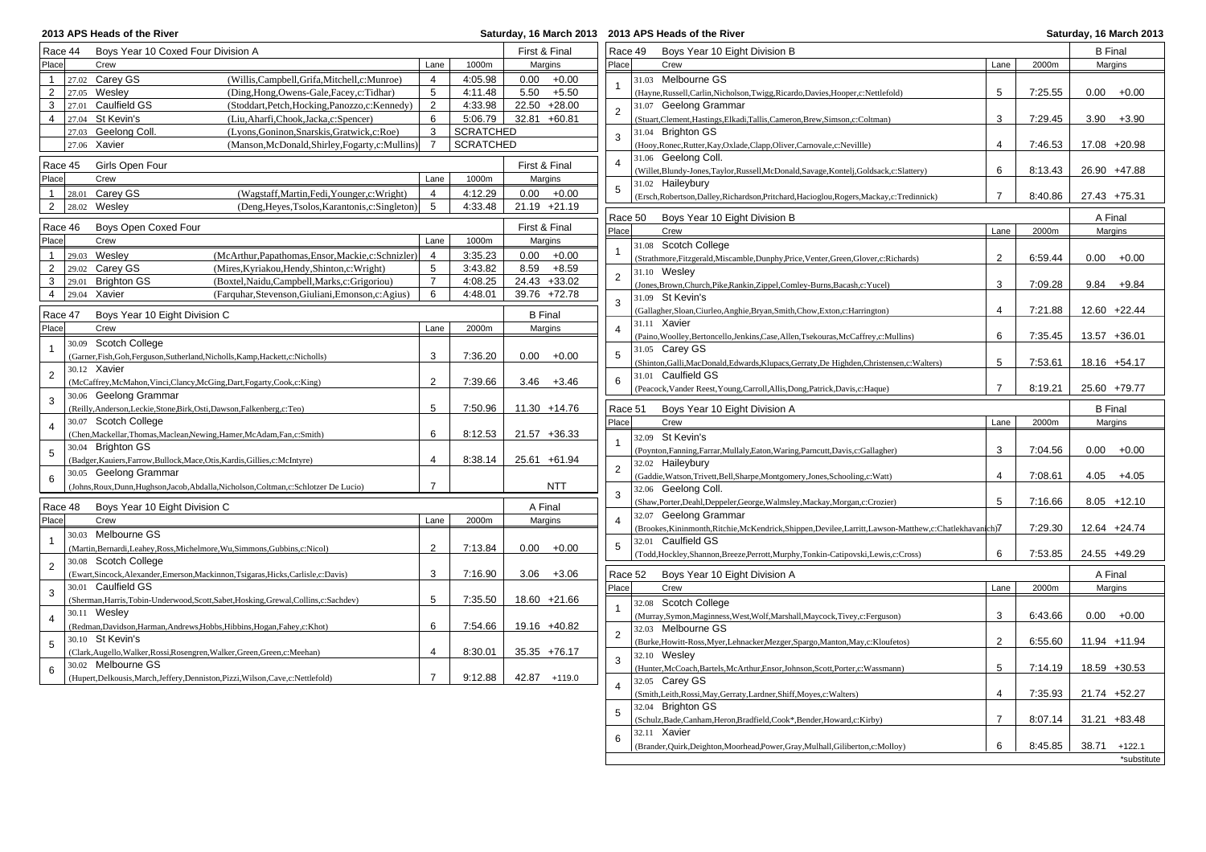| 2013 APS Heads of the River                                    |                                                                                         |                                          |                    |                 |                 | Saturday, 16 March 2013 2013 APS Heads of the River<br>Saturday, 16 March 2013                             |                |         |                 |  |
|----------------------------------------------------------------|-----------------------------------------------------------------------------------------|------------------------------------------|--------------------|-----------------|-----------------|------------------------------------------------------------------------------------------------------------|----------------|---------|-----------------|--|
| Boys Year 10 Coxed Four Division A<br>First & Final<br>Race 44 |                                                                                         | Boys Year 10 Eight Division B<br>Race 49 |                    |                 |                 | <b>B</b> Final                                                                                             |                |         |                 |  |
| Place<br>Crew                                                  |                                                                                         | Lane                                     | 1000m              | Margins         | Place           | Crew                                                                                                       | Lane           | 2000m   | Margins         |  |
| 1   $27.02$ Carey GS                                           | (Willis,Campbell,Grifa,Mitchell,c:Munroe)                                               | $\overline{4}$                           | 4:05.98            | 0.00<br>$+0.00$ |                 | 31.03 Melbourne GS                                                                                         |                |         |                 |  |
| 2 27.05 Wesley                                                 | (Ding, Hong, Owens-Gale, Facey, c: Tidhar)                                              | 5                                        | 4:11.48            | $+5.50$<br>5.50 |                 | (Hayne, Russell, Carlin, Nicholson, Twigg, Ricardo, Davies, Hooper, c: Nettlefold)                         | 5              | 7:25.55 | $0.00 + 0.00$   |  |
| 27.01 Caulfield GS<br>3                                        | (Stoddart, Petch, Hocking, Panozzo, c: Kennedy)                                         | 2                                        | 4:33.98            | 22.50 +28.00    | $\sqrt{2}$      | 31.07 Geelong Grammar                                                                                      |                |         |                 |  |
| $27.04$ St Kevin's<br>4                                        | (Liu, Aharfi, Chook, Jacka, c: Spencer)                                                 | 6                                        | 5:06.79            | 32.81 +60.81    |                 | (Stuart, Clement, Hastings, Elkadi, Tallis, Cameron, Brew, Simson, c: Coltman)                             | 3              | 7:29.45 | $3.90 + 3.90$   |  |
| 27.03 Geelong Coll.                                            | (Lyons, Goninon, Snarskis, Gratwick, c: Roe)                                            | 3                                        | <b>SCRATCHED</b>   |                 | 3               | 31.04 Brighton GS                                                                                          |                |         |                 |  |
| 27.06 Xavier                                                   | (Manson, McDonald, Shirley, Fogarty, c: Mullins)                                        | $\overline{7}$                           | <b>SCRATCHED</b>   |                 |                 | (Hooy, Ronec, Rutter, Kay, Oxlade, Clapp, Oliver, Carnovale, c: Nevillle)                                  | $\overline{4}$ | 7:46.53 | 17.08 +20.98    |  |
| Race 45<br>Girls Open Four                                     |                                                                                         |                                          |                    | First & Final   | $\overline{4}$  | 31.06 Geelong Coll.                                                                                        |                |         |                 |  |
| Place<br>Crew                                                  |                                                                                         | Lane                                     | 1000m              | Margins         |                 | (Willet,Blundy-Jones,Taylor,Russell,McDonald,Savage,Kontelj,Goldsack,c:Slattery)                           | 6              | 8:13.43 | 26.90 +47.88    |  |
|                                                                |                                                                                         | $\overline{4}$                           |                    |                 | $\,$ 5 $\,$     | 31.02 Haileybury                                                                                           |                |         |                 |  |
| 1 28.01 Carey GS                                               | (Wagstaff, Martin, Fedi, Younger, c: Wright)                                            | 5                                        | 4:12.29<br>4:33.48 | 0.00<br>$+0.00$ |                 | (Ersch, Robertson, Dalley, Richardson, Pritchard, Hacioglou, Rogers, Mackay, c: Tredinnick)                | $\overline{7}$ | 8:40.86 | 27.43 +75.31    |  |
| 2   $28.02$ Wesley                                             | (Deng, Heyes, Tsolos, Karantonis, c: Singleton)                                         |                                          |                    | 21.19 +21.19    | Race 50         | Boys Year 10 Eight Division B                                                                              |                |         | A Final         |  |
| Race 46<br>Boys Open Coxed Four                                |                                                                                         |                                          |                    | First & Final   | Place           | Crew                                                                                                       | Lane           | 2000m   | Margins         |  |
| Place<br>Crew                                                  |                                                                                         | Lane                                     | 1000m              | Margins         |                 | 31.08 Scotch College                                                                                       |                |         |                 |  |
| $\mathbf{1}$<br>$29.03$ Wesley                                 | (McArthur, Papathomas, Ensor, Mackie, c: Schnizler)                                     | $\overline{4}$                           | 3:35.23            | $0.00 + 0.00$   |                 | (Strathmore, Fitzgerald, Miscamble, Dunphy, Price, Venter, Green, Glover, c: Richards)                     | 2              | 6:59.44 | $0.00 + 0.00$   |  |
| $\overline{2}$<br>$29.02$ Carey GS                             | (Mires, Kyriakou, Hendy, Shinton, c: Wright)                                            | 5                                        | 3:43.82            | $8.59 + 8.59$   |                 | 31.10 Wesley                                                                                               |                |         |                 |  |
| 29.01 Brighton GS<br>3                                         | (Boxtel, Naidu, Campbell, Marks, c: Grigoriou)                                          | $\overline{7}$                           | 4:08.25            | 24.43 +33.02    | $\overline{2}$  | (Jones, Brown, Church, Pike, Rankin, Zippel, Comley-Burns, Bacash, c: Yucel)                               | 3              | 7:09.28 | 9.84<br>+9.84   |  |
| $29.04$ Xavier<br>4                                            | (Farquhar, Stevenson, Giuliani, Emonson, c: Agius)                                      | 6                                        | 4:48.01            | 39.76 +72.78    |                 | 31.09 St Kevin's                                                                                           |                |         |                 |  |
|                                                                |                                                                                         |                                          |                    |                 | 3               | (Gallagher, Sloan, Ciurleo, Anghie, Bryan, Smith, Chow, Exton, c: Harrington)                              | $\overline{4}$ | 7:21.88 | 12.60 +22.44    |  |
| Race 47<br>Boys Year 10 Eight Division C                       |                                                                                         |                                          |                    | <b>B</b> Final  |                 | 31.11 Xavier                                                                                               |                |         |                 |  |
| Place<br>Crew                                                  |                                                                                         | Lane                                     | 2000m              | Margins         | $\overline{4}$  | (Paino, Woolley, Bertoncello, Jenkins, Case, Allen, Tsekouras, McCaffrey, c: Mullins)                      | 6              | 7:35.45 | 13.57 +36.01    |  |
| 30.09 Scotch College                                           |                                                                                         |                                          |                    |                 |                 | 31.05 Carev GS                                                                                             |                |         |                 |  |
|                                                                | (Garner, Fish, Goh, Ferguson, Sutherland, Nicholls, Kamp, Hackett, c: Nicholls)         | 3                                        | 7:36.20            | $0.00 + 0.00$   | 5               | (Shinton, Galli, MacDonald, Edwards, Klupacs, Gerraty, De Highden, Christensen, c: Walters)                | 5              | 7:53.61 | 18.16 +54.17    |  |
| 30.12 Xavier<br>$\overline{2}$                                 |                                                                                         |                                          |                    |                 |                 | 31.01 Caulfield GS                                                                                         |                |         |                 |  |
|                                                                | (McCaffrey, McMahon, Vinci, Clancy, McGing, Dart, Fogarty, Cook, c: King)               | $\overline{2}$                           | 7:39.66            | $3.46 + 3.46$   | 6               | (Peacock, Vander Reest, Young, Carroll, Allis, Dong, Patrick, Davis, c: Haque)                             | $\overline{7}$ | 8:19.21 | 25.60 +79.77    |  |
| 30.06 Geelong Grammar<br>$\mathbf{3}$                          |                                                                                         |                                          |                    |                 |                 |                                                                                                            |                |         |                 |  |
|                                                                | (Reilly, Anderson, Leckie, Stone, Birk, Osti, Dawson, Falkenberg, c: Teo)               | 5                                        | 7:50.96            | 11.30 +14.76    | Race 51         | Boys Year 10 Eight Division A                                                                              |                |         | <b>B</b> Final  |  |
| 30.07 Scotch College<br>$\overline{4}$                         |                                                                                         |                                          |                    |                 | Place           | Crew                                                                                                       | Lane           | 2000m   | Margins         |  |
|                                                                | (Chen, Mackellar, Thomas, Maclean, Newing, Hamer, McAdam, Fan, c: Smith)                | 6                                        | 8:12.53            | 21.57 +36.33    |                 | 32.09 St Kevin's                                                                                           |                |         |                 |  |
| 30.04 Brighton GS<br>$\sqrt{5}$                                |                                                                                         |                                          |                    |                 |                 | (Poynton, Fanning, Farrar, Mullaly, Eaton, Waring, Parncutt, Davis, c: Gallagher)                          | 3              | 7:04.56 | $0.00 + 0.00$   |  |
|                                                                | (Badger, Kauiers, Farrow, Bullock, Mace, Otis, Kardis, Gillies, c: McIntyre)            | $\overline{4}$                           | 8:38.14            | 25.61 +61.94    | $\overline{2}$  | 32.02 Haileybury                                                                                           |                |         |                 |  |
| 30.05 Geelong Grammar<br>6                                     |                                                                                         |                                          |                    |                 |                 | (Gaddie, Watson, Trivett, Bell, Sharpe, Montgomery, Jones, Schooling, c: Watt)                             | $\overline{4}$ | 7:08.61 | $4.05 + 4.05$   |  |
|                                                                | (Johns, Roux, Dunn, Hughson, Jacob, Abdalla, Nicholson, Coltman, c: Schlotzer De Lucio) | $\overline{7}$                           |                    | <b>NTT</b>      | 3               | 32.06 Geelong Coll.                                                                                        |                |         |                 |  |
| Race 48<br>Boys Year 10 Eight Division C                       |                                                                                         |                                          |                    | A Final         |                 | (Shaw,Porter,Deahl,Deppeler,George,Walmsley,Mackay,Morgan,c:Crozier)                                       | 5              | 7:16.66 | $8.05 + 12.10$  |  |
| Place<br>Crew                                                  |                                                                                         | Lane                                     | 2000m              | Margins         | $\overline{4}$  | 32.07 Geelong Grammar                                                                                      |                |         |                 |  |
| 30.03 Melbourne GS                                             |                                                                                         |                                          |                    |                 |                 | (Brookes, Kininmonth, Ritchie, McKendrick, Shippen, Devilee, Larritt, Lawson-Matthew, c: Chatlekhavanich)7 |                | 7:29.30 | 12.64 +24.74    |  |
|                                                                | (Martin, Bernardi, Leahey, Ross, Michelmore, Wu, Simmons, Gubbins, c: Nicol)            | $\overline{2}$                           | 7:13.84            | $0.00 + 0.00$   | $5\phantom{.0}$ | 32.01 Caulfield GS                                                                                         |                |         |                 |  |
| 30.08 Scotch College                                           |                                                                                         |                                          |                    |                 |                 | (Todd, Hockley, Shannon, Breeze, Perrott, Murphy, Tonkin-Catipovski, Lewis, c: Cross)                      | 6              | 7:53.85 | 24.55 +49.29    |  |
| $\overline{2}$                                                 | (Ewart,Sincock,Alexander,Emerson,Mackinnon,Tsigaras,Hicks,Carlisle,c:Davis)             | 3                                        | 7:16.90            | $3.06 + 3.06$   | Race 52         | Boys Year 10 Eight Division A                                                                              |                |         | A Final         |  |
| 30.01 Caulfield GS                                             |                                                                                         |                                          |                    |                 | Place           | Crew                                                                                                       | Lane           |         |                 |  |
| 3                                                              | (Sherman, Harris, Tobin-Underwood, Scott, Sabet, Hosking, Grewal, Collins, c: Sachdev)  | 5                                        | 7:35.50            | 18.60 +21.66    |                 |                                                                                                            |                | 2000m   | Margins         |  |
| 30.11 Wesley                                                   |                                                                                         |                                          |                    |                 |                 | 32.08 Scotch College                                                                                       |                |         |                 |  |
| $\overline{4}$                                                 | (Redman, Davidson, Harman, Andrews, Hobbs, Hibbins, Hogan, Fahey, c: Khot)              | 6                                        | 7:54.66            | 19.16 +40.82    |                 | (Murray, Symon, Maginness, West, Wolf, Marshall, Maycock, Tivey, c: Ferguson)                              | 3              | 6:43.66 | $0.00 + 0.00$   |  |
| 30.10 St Kevin's                                               |                                                                                         |                                          |                    |                 | $\overline{2}$  | 32.03 Melbourne GS                                                                                         |                |         |                 |  |
| 5                                                              | (Clark, Augello, Walker, Rossi, Rosengren, Walker, Green, Green, c: Meehan)             | $\overline{4}$                           | 8:30.01            | 35.35 +76.17    |                 | (Burke, Howitt-Ross, Myer, Lehnacker, Mezger, Spargo, Manton, May, c: Kloufetos)                           | 2              | 6:55.60 | 11.94 +11.94    |  |
| 30.02 Melbourne GS                                             |                                                                                         |                                          |                    |                 | 3               | 32.10 Wesley                                                                                               |                |         |                 |  |
| 6                                                              | (Hupert, Delkousis, March, Jeffery, Denniston, Pizzi, Wilson, Cave, c: Nettlefold)      | $\overline{7}$                           | 9:12.88            | 42.87 +119.0    |                 | (Hunter, McCoach, Bartels, McArthur, Ensor, Johnson, Scott, Porter, c: Wassmann)                           | 5              | 7:14.19 | 18.59 +30.53    |  |
|                                                                |                                                                                         |                                          |                    |                 |                 | 32.05 Carey GS                                                                                             |                |         |                 |  |
|                                                                |                                                                                         |                                          |                    |                 |                 | (Smith, Leith, Rossi, May, Gerraty, Lardner, Shiff, Moyes, c: Walters)                                     | $\overline{4}$ | 7:35.93 | 21.74 +52.27    |  |
|                                                                |                                                                                         |                                          |                    |                 | 5               | 32.04 Brighton GS                                                                                          |                |         |                 |  |
|                                                                |                                                                                         |                                          |                    |                 |                 | (Schulz, Bade, Canham, Heron, Bradfield, Cook*, Bender, Howard, c: Kirby)                                  | $\overline{7}$ | 8:07.14 | $31.21 + 83.48$ |  |
|                                                                |                                                                                         |                                          |                    |                 | 6               | 32.11 Xavier<br>Deandas Ovish Daighton Magghaad Darras Cear Mulhall Cilibantan ay Mallary                  | $\epsilon$     | 9.4595  | $29.71$ $1321$  |  |

(Brander,Quirk,Deighton,Moorhead,Power,Gray,Mulhall,Giliberton,c:Molloy) 6 8:45.85 38.71 +122.1

\*substitute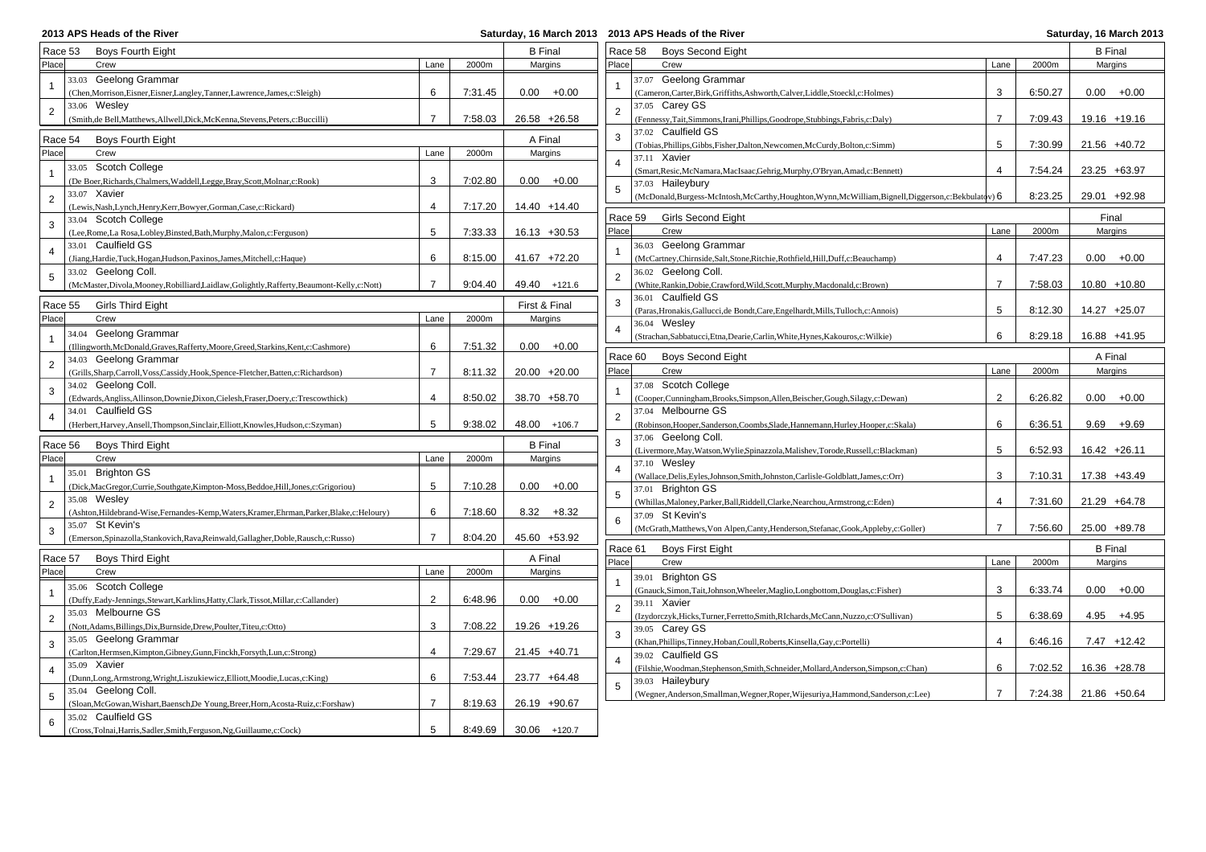| 2013 APS Heads of the River                                                                        |                | Saturday, 16 March 2013 2013 APS Heads of the River |                | Saturday, 16 March 2013                                                                                |                |         |                 |
|----------------------------------------------------------------------------------------------------|----------------|-----------------------------------------------------|----------------|--------------------------------------------------------------------------------------------------------|----------------|---------|-----------------|
| Race 53<br><b>Boys Fourth Eight</b>                                                                |                |                                                     | <b>B</b> Final | <b>Boys Second Eight</b><br>Race 58                                                                    |                |         | <b>B</b> Final  |
| Place<br>Crew                                                                                      | Lane           | 2000m                                               | Margins        | Place<br>Crew                                                                                          | Lane           | 2000m   | Margins         |
| 33.03 Geelong Grammar                                                                              |                |                                                     |                | 37.07 Geelong Grammar                                                                                  |                |         |                 |
| (Chen, Morrison, Eisner, Eisner, Langley, Tanner, Lawrence, James, c: Sleigh)                      | 6              | 7:31.45                                             | $0.00 + 0.00$  | $\mathbf{1}$<br>(Cameron, Carter, Birk, Griffiths, Ashworth, Calver, Liddle, Stoeckl, c: Holmes)       | 3              | 6:50.27 | $0.00 + 0.00$   |
| 33.06 Wesley                                                                                       |                |                                                     |                | 37.05 Carey GS                                                                                         |                |         |                 |
| $\overline{2}$<br>(Smith, de Bell, Matthews, Allwell, Dick, McKenna, Stevens, Peters, c: Buccilli) | $\overline{7}$ | 7:58.03                                             | 26.58 +26.58   | $\overline{2}$<br>(Fennessy,Tait,Simmons,Irani,Phillips,Goodrope,Stubbings,Fabris,c:Daly)              | $\overline{7}$ | 7:09.43 | 19.16 +19.16    |
|                                                                                                    |                |                                                     |                | 37.02 Caulfield GS                                                                                     |                |         |                 |
| Race 54<br>Boys Fourth Eight                                                                       |                |                                                     | A Final        | 3<br>(Tobias, Phillips, Gibbs, Fisher, Dalton, Newcomen, McCurdy, Bolton, c: Simm)                     | 5              | 7:30.99 | 21.56 +40.72    |
| Place<br>Crew                                                                                      | Lane           | 2000m                                               | Margins        | 37.11 Xavier<br>$\overline{4}$                                                                         |                |         |                 |
| 33.05 Scotch College                                                                               |                |                                                     |                | (Smart, Resic, McNamara, MacIsaac, Gehrig, Murphy, O'Bryan, Amad, c: Bennett)                          | $\overline{4}$ | 7:54.24 | 23.25 +63.97    |
| (De Boer, Richards, Chalmers, Waddell, Legge, Bray, Scott, Molnar, c: Rook)                        | 3              | 7:02.80                                             | $0.00 + 0.00$  | 37.03 Haileybury<br>5                                                                                  |                |         |                 |
| 33.07 Xavier<br>$\overline{2}$                                                                     |                |                                                     |                | (McDonald, Burgess-McIntosh, McCarthy, Houghton, Wynn, McWilliam, Bignell, Diggerson, c: Bekbulatov) 6 |                | 8:23.25 | 29.01 +92.98    |
| (Lewis, Nash, Lynch, Henry, Kerr, Bowyer, Gorman, Case, c: Rickard)                                | $\overline{4}$ | 7:17.20                                             | 14.40 +14.40   |                                                                                                        |                |         |                 |
| 33.04 Scotch College<br>3                                                                          |                |                                                     |                | Girls Second Eight<br>Race 59                                                                          |                |         | Final           |
| (Lee,Rome,La Rosa,Lobley,Binsted,Bath,Murphy,Malon,c:Ferguson)                                     | 5              | 7:33.33                                             | 16.13 +30.53   | Place<br>Crew                                                                                          | Lane           | 2000m   | Margins         |
| 33.01 Caulfield GS<br>$\overline{4}$                                                               |                |                                                     |                | 36.03 Geelong Grammar<br>$\mathbf{1}$                                                                  |                |         |                 |
| (Jiang, Hardie, Tuck, Hogan, Hudson, Paxinos, James, Mitchell, c: Haque)                           | 6              | 8:15.00                                             | 41.67 +72.20   | (McCartney,Chirnside,Salt,Stone,Ritchie,Rothfield,Hill,Duff,c:Beauchamp)                               | $\overline{4}$ | 7:47.23 | $0.00 + 0.00$   |
| 33.02 Geelong Coll.<br>5                                                                           |                |                                                     |                | 36.02 Geelong Coll.<br>$\overline{2}$                                                                  |                |         |                 |
| (McMaster,Divola,Mooney,Robilliard,Laidlaw,Golightly,Rafferty,Beaumont-Kelly,c:Nott)               | $\overline{7}$ | 9:04.40                                             | 49.40 +121.6   | (White, Rankin, Dobie, Crawford, Wild, Scott, Murphy, Macdonald, c: Brown)                             | $\overline{7}$ | 7:58.03 | $10.80 + 10.80$ |
|                                                                                                    |                |                                                     | First & Final  | 36.01 Caulfield GS<br>3                                                                                |                |         |                 |
| Race 55<br>Girls Third Eight                                                                       |                |                                                     |                | (Paras, Hronakis, Gallucci, de Bondt, Care, Engelhardt, Mills, Tulloch, c: Annois)                     | 5              | 8:12.30 | 14.27 +25.07    |
| Place<br>Crew                                                                                      | Lane           | 2000m                                               | Margins        | 36.04 Wesley<br>$\overline{4}$                                                                         |                |         |                 |
| 34.04 Geelong Grammar                                                                              |                |                                                     |                | (Strachan, Sabbatucci, Etna, Dearie, Carlin, White, Hynes, Kakouros, c: Wilkie)                        | 6              | 8:29.18 | 16.88 +41.95    |
| (Illingworth, McDonald, Graves, Rafferty, Moore, Greed, Starkins, Kent, c: Cashmore)               | 6              | 7:51.32                                             | $0.00 + 0.00$  |                                                                                                        |                |         |                 |
| 34.03 Geelong Grammar<br>$\overline{2}$                                                            |                |                                                     |                | <b>Boys Second Eight</b><br>Race 60                                                                    |                |         | A Final         |
| (Grills, Sharp, Carroll, Voss, Cassidy, Hook, Spence-Fletcher, Batten, c: Richardson)              | $\overline{7}$ | 8:11.32                                             | 20.00 +20.00   | Place<br>Crew                                                                                          | Lane           | 2000m   | Margins         |
| 34.02 Geelong Coll.<br>3                                                                           |                |                                                     |                | 37.08 Scotch College                                                                                   |                |         |                 |
| (Edwards, Angliss, Allinson, Downie, Dixon, Cielesh, Fraser, Doery, c: Trescowthick)               | $\overline{4}$ | 8:50.02                                             | 38.70 +58.70   | (Cooper,Cunningham,Brooks,Simpson,Allen,Beischer,Gough,Silagy,c:Dewan)                                 | 2              | 6:26.82 | $0.00 + 0.00$   |
| 34.01 Caulfield GS<br>4                                                                            |                |                                                     |                | 37.04 Melbourne GS<br>$\overline{2}$                                                                   |                |         |                 |
| (Herbert, Harvey, Ansell, Thompson, Sinclair, Elliott, Knowles, Hudson, c: Szyman)                 | 5              | 9:38.02                                             | 48.00 +106.7   | (Robinson, Hooper, Sanderson, Coombs, Slade, Hannemann, Hurley, Hooper, c: Skala)                      | 6              | 6:36.51 | 9.69<br>$+9.69$ |
| Race 56<br><b>Boys Third Eight</b>                                                                 |                |                                                     | <b>B</b> Final | 37.06 Geelong Coll.<br>3                                                                               |                |         |                 |
| Place<br>Crew                                                                                      | Lane           | 2000m                                               | Margins        | (Livermore, May, Watson, Wylie, Spinazzola, Malishev, Torode, Russell, c: Blackman)                    | 5              | 6:52.93 | 16.42 +26.11    |
|                                                                                                    |                |                                                     |                | 37.10 Wesley<br>$\overline{4}$                                                                         |                |         |                 |
| 35.01 Brighton GS                                                                                  |                |                                                     |                | (Wallace,Delis,Eyles,Johnson,Smith,Johnston,Carlisle-Goldblatt,James,c:Orr)                            | 3              | 7:10.31 | 17.38 +43.49    |
| (Dick, MacGregor, Currie, Southgate, Kimpton-Moss, Beddoe, Hill, Jones, c: Grigoriou)              | 5              | 7:10.28                                             | $0.00 + 0.00$  | 37.01 Brighton GS<br>5                                                                                 |                |         |                 |
| 35.08 Wesley<br>$\overline{2}$                                                                     |                |                                                     |                | (Whillas, Maloney, Parker, Ball, Riddell, Clarke, Nearchou, Armstrong, c: Eden)                        | $\overline{4}$ | 7:31.60 | 21.29 +64.78    |
| (Ashton, Hildebrand-Wise, Fernandes-Kemp, Waters, Kramer, Ehrman, Parker, Blake, c: Heloury)       | 6              | 7:18.60                                             | $8.32 + 8.32$  | 37.09 St Kevin's<br>6                                                                                  |                |         |                 |
| 35.07 St Kevin's<br>3                                                                              |                |                                                     |                | (McGrath, Matthews, Von Alpen, Canty, Henderson, Stefanac, Gook, Appleby, c: Goller)                   | 7              | 7:56.60 | 25.00 +89.78    |
| (Emerson, Spinazolla, Stankovich, Rava, Reinwald, Gallagher, Doble, Rausch, c: Russo)              | $\overline{7}$ | 8:04.20                                             | 45.60 +53.92   | Race 61<br><b>Boys First Eight</b>                                                                     |                |         | <b>B</b> Final  |
| Race 57<br>Boys Third Eight                                                                        |                |                                                     | A Final        | Place<br>Crew                                                                                          | Lane           | 2000m   | Margins         |
| Place<br>Crew                                                                                      | Lane           | 2000m                                               | Margins        |                                                                                                        |                |         |                 |
| 35.06 Scotch College                                                                               |                |                                                     |                | 39.01 Brighton GS<br>$\mathbf{1}$                                                                      |                |         |                 |
| (Duffy,Eady-Jennings,Stewart,Karklins,Hatty,Clark,Tissot,Millar,c:Callander)                       | $\overline{2}$ | 6:48.96                                             | $0.00 + 0.00$  | (Gnauck, Simon, Tait, Johnson, Wheeler, Maglio, Longbottom, Douglas, c: Fisher)                        | 3              | 6:33.74 | $0.00 + 0.00$   |
| 35.03 Melbourne GS                                                                                 |                |                                                     |                | 39.11 Xavier<br>2                                                                                      |                |         |                 |
| $\overline{2}$<br>(Nott, Adams, Billings, Dix, Burnside, Drew, Poulter, Titeu, c: Otto)            | 3              | 7:08.22                                             | 19.26 +19.26   | (Izydorczyk, Hicks, Turner, Ferretto, Smith, RIchards, McCann, Nuzzo, c: O'Sullivan)                   | 5              | 6:38.69 | $4.95 + 4.95$   |
| 35.05 Geelong Grammar                                                                              |                |                                                     |                | 39.05 Carey GS<br>3                                                                                    |                |         |                 |
| 3                                                                                                  | $\overline{4}$ |                                                     |                | (Khan, Phillips, Tinney, Hoban, Coull, Roberts, Kinsella, Gay, c: Portelli)                            | $\overline{4}$ | 6:46.16 | $7.47 + 12.42$  |
| (Carlton, Hermsen, Kimpton, Gibney, Gunn, Finckh, Forsyth, Lun, c: Strong)                         |                | 7:29.67                                             | 21.45 +40.71   | 39.02 Caulfield GS<br>$\overline{4}$                                                                   |                |         |                 |
| 35.09 Xavier<br>$\overline{4}$                                                                     |                |                                                     |                | (Filshie, Woodman, Stephenson, Smith, Schneider, Mollard, Anderson, Simpson, c: Chan)                  | 6              | 7:02.52 | 16.36 +28.78    |
| (Dunn, Long, Armstrong, Wright, Liszukiewicz, Elliott, Moodie, Lucas, c: King)                     | 6              | 7:53.44                                             | 23.77 +64.48   | 39.03 Haileybury<br>5                                                                                  |                |         |                 |
| 35.04 Geelong Coll.<br>5                                                                           |                |                                                     |                | (Wegner, Anderson, Smallman, Wegner, Roper, Wijesuriya, Hammond, Sanderson, c: Lee)                    | $\overline{7}$ | 7:24.38 | 21.86 +50.64    |
| (Sloan, McGowan, Wishart, Baensch, De Young, Breer, Horn, Acosta-Ruiz, c: Forshaw)                 | $\overline{7}$ | 8:19.63                                             | 26.19 +90.67   |                                                                                                        |                |         |                 |
| 35.02 Caulfield GS<br>6                                                                            |                |                                                     |                |                                                                                                        |                |         |                 |
| (Cross,Tolnai,Harris,Sadler,Smith,Ferguson,Ng,Guillaume,c:Cock)                                    | 5              | 8:49.69                                             | 30.06 +120.7   |                                                                                                        |                |         |                 |